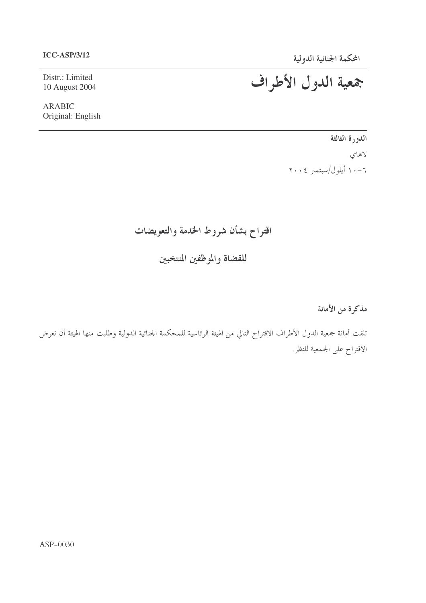#### **ICC-ASP/3/12**

Distr.: Limited 10 August 2004

**ARABIC** Original: English جمعية الدول الأطراف

الدورة الثالثة لاهای ۰۱۰-۱ أيلول/سبتمبر ۲۰۰**۶** 

اقتراح بشأن شروط الخدمة والتعويضات

للقضاة والموظفين المنتخبين

مذكرة من الأمانة

تلقت أمانة جمعية الدول الأطراف الاقتراح التالي من الهيئة الرئاسية للمحكمة الجنائية الدولية وطلبت منها الهيئة أن تعرض الاقتراح على الجمعية للنظر.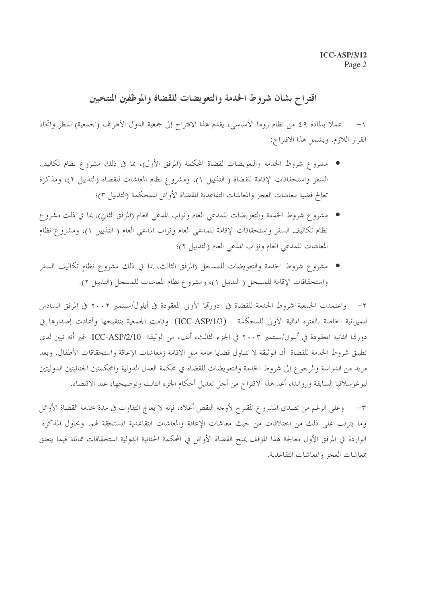## اقتراح بشأن شروط الخدمة والتعويضات للقضاة والموظفين المنتخبين

١– عملا بالمادة ٤٩ من نظام روما الأساسي، يقدم هذا الاقتراح إلى جمعية الدول الأطراف (الجمعية) للنظر واتخاذ القرار اللازم. ويشمل هذا الاقتراح:

- مشروع شروط الخدمة والتعويضات لقضاة المحكمة (المرفق الأول)، بما في ذلك مشروع نظام تكاليف السفر واستحقاقات الإقامة للقضاة ( التذييل ١)، ومشروع نظام المعاشات للقضاة (التذييل ٢)، ومذكرة تعالج قضية معاشات العجز والمعاشات التقاعدية للقضاة الأوائل للمحكمة (التذييل ٣)؛
- مشروع شروط الخدمة والتعويضات للمدعي العام ونواب المدعي العام (المرفق الثاني)، بما في ذلك مشرو ع نظام تكاليف السفر واستحقاقات الإقامة للمدعي العام ونواب المدعي العام ( التذييل ١)، ومشروع نظام المعاشات للمدعي العام ونواب المدعي العام (التذييل ٢)؛
- مشروع شروط الخدمة والتعويضات للمسحل (المرفق الثالث، بما في ذلك مشروع نظام تكاليف السفر واستحقاقات الإقامة للمسجل ( التذييل ١)، ومشروع نظام المعاشات للمسحل (التذييل ٢).

٢– واعتمدت الجمعية شروط الخدمة للقضاة في دورتما الأولى المعقودة في أيلول/سبتمبر ٢٠٠٢ في المرفق السادس للميزانية الخاصة بالفترة المالية الأولى للمحكمة (ICC-ASP/1/3) وقامت الجمعية بتنقيحها وأعادت إصدارها في دورقما الثانية المعقودة في أيلول/سبتمبر ٢٠٠٣ في الجزء الثالث، ألف، من الوثيقة ICC-ASP/2/10. غير أنه تبين لدى تطبيق شروط الخدمة للقضاة أن الوثيقة لا تتناول قضايا هامة مثل الإقامة زمعاشات الإعاقة واستحقاقات الأطفال. وبعد مزيد من الدراسة والرجوع إلى شروط الخدمة والتعويضات للقضاة في محكمة العدل الدولية والمحكمتين الجنائيتين الدوليتين ليوغوسلافيا السابقة ورواندا، أعد هذا الاقتراح من أحل تعديل أحكام الجزء الثالث وتوضيحها، عند الاقتضاء.

٣– وعلى الرغم من تصدي المشرو ع المقترح لأوجه النقص أعلاه، فإنه لا يعالج التفاوت في مدة حدمة القضاة الأوائل وما يترتب على ذلك من اختلافات من حيث معاشات الإعاقة والمعاشات التقاعدية المستحقة لهم. وتحاول المذكرة الواردة في المرفق الأول معالجة هذا الموقف بمنح القضاة الأوائل في المحكمة الجنائية الدولية استحقاقات مماثلة فيما يتعلق معاشات العجز والمعاشات التقاعدية.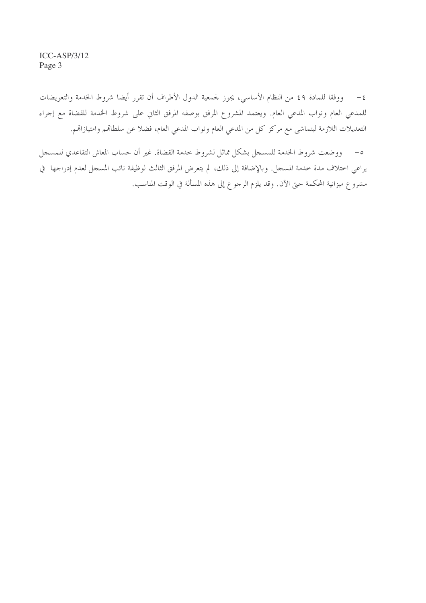$ICC-ASP/3/12$ Page 3

٤– ووفقا للمادة ٤٩ من النظام الأساسي، يجوز لجمعية الدول الأطراف أن تقرر أيضا شروط الخدمة والتعويضات للمدعي العام ونواب المدعي العام. ويعتمد المشروع المرفق بوصفه المرفق الثاني على شروط الخدمة للقضاة مع إجراء التعديلات اللازمة ليتماشى مع مركز كل من المدعى العام ونواب المدعى العام، فضلا عن سلطاقم وامتيازاقم.

ووضعت شروط الخدمة للمسجل بشكل مماثل لشروط حدمة القضاة. غير أن حساب المعاش التقاعدي للمسجل  $-\circ$ يراعي اختلاف مدة خدمة المسحل. وبالإضافة إلى ذلك، لم يتعرض المرفق الثالث لوظيفة نائب المسحل لعدم إدراجها في مشروع ميزانية المحكمة حتى الآن. وقد يلزم الرحوع إلى هذه المسألة في الوقت المناسب.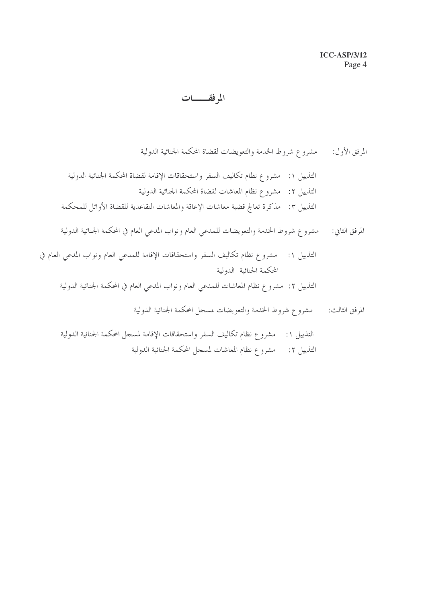## المرفقــــات

- المرفق الأول: مشرو ع شروط الخدمة والتعويضات لقضاة المحكمة الجنائية الدولية التذييل ١: مشرو ع نظام تكاليف السفر واستحقاقات الإقامة لقضاة المحكمة الجنائية الدولية
- التذييل ٢: مشروع نظام المعاشات لقضاة المحكمة الجنائية الدولية التذييل ٣: مذكرة تعالج قضية معاشات الإعاقة والمعاشات التقاعدية للقضاة الأوائل للمحكمة
- المرفق الثاني: مشرو ع شروط الخدمة والتعويضات للمدعي العام ونواب المدعي العام في المحكمة الجنائية الدولية
- التذييل ١: مشروع نظام تكاليف السفر واستحقاقات الإقامة للمدعي العام ونواب المدعي العام في المحكمة الجنائية الدولية
	- التذييل ٢: مشروع نظام المعاشات للمدعي العام ونواب المدعي العام في المحكمة الجنائية الدولية
		- المرفق الثالث: مشرو ع شروط الخدمة والتعويضات لمسحل المحكمة الجنائية الدولية

التذييل ١: مشرو ع نظام تكاليف السفر واستحقاقات الإقامة لمسحل المحكمة الجنائية الدولية التذييل ٢: مشروع نظام المعاشات لمسحل المحكمة الجنائية الدولية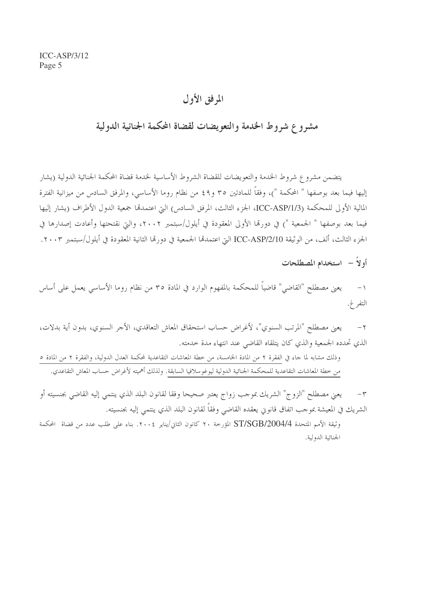## المرفق الأول

## مشروع شروط الخدمة والتعويضات لقضاة المحكمة الجنائية الدولية

يتضمن مشروع شروط الخدمة والتعويضات للقضاة الشروط الأساسية لخدمة قضاة المحكمة الجنائية الدولية (يشار إليها فيما بعد بوصفها " المحكمة ")، وفقاً للمادتين ٣٥ و٤٩ من نظام روما الأساسي، والمرفق السادس من ميزانية الفترة المالية الأولى للمحكمة (ICC-ASP/1/3، الجزء الثالث، المرفق السادس) التي اعتمدتما جمعية الدول الأطراف (يشار إليها فيما بعد بوصفها " الجمعية ") في دورمًا الأولى المعقودة في أيلول/سبتمبر ٢٠٠٢، والتي نقتحتها وأعادت إصدارها في الجزء الثالث، ألف، من الوثيقة ICC-ASP/2/10 التي اعتمدها الجمعية في دورها الثانية المعقودة في أيلول/سبتمبر ٢٠٠٣.

أولاً - استخدام المصطلحات

يعني مصطلح "القاضي" قاضياً للمحكمة بالمفهوم الوارد في المادة ٣٥ من نظام روما الأساسي يعمل على أساس  $-1$ التفر غ.

يعني مصطلح "المرتب السنوي"، لأغراض حساب استحقاق المعاش التعاقدي، الأجر السنوي، بدون أية بدلات،  $-\tau$ الذي تحدده الجمعية والذي كان يتلقاه القاضي عند انتهاء مدة حدمته.

وذلك مشابه لما جاء في الفقرة ٢ من المادة الخامسة، من حطة المعاشات التقاعدية لمحكمة العدل الدولية، والفقرة ٢ من المادة ٥ من خطة المعاشات التقاعدية للمحكمة الجنائية الدولية ليوغوسلافيا السابقة. ولذلك أهميته لأغراض حساب المعاش التقاعدي.

يعني مصطلح "الزوج" الشريك بموجب زواج يعتبر صحيحا وفقا لقانون البلد الذي ينتمى إليه القاضي بجنسيته أو  $-\tau$ الشريك في المعيشة بموجب اتفاق قانوين يعقده القاضي وفقاً لقانون البلد الذي ينتمي إليه بجنسيته.

وثيقة الأمم المتحدة ST/SGB/2004/4 المؤرخة ٢٠ كانون الثاني/يناير ٢٠٠٤. بناء على طلب عدد من قضاة المحكمة الجنائية الدولية.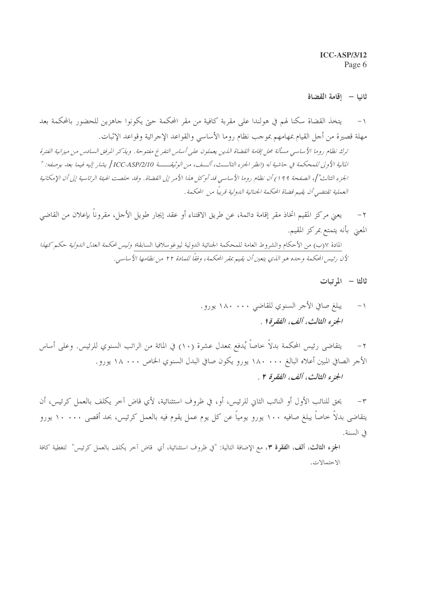**ICC-ASP/3/12** Page 6

#### ثانيا – إقامة القضاة

- يتخذ القضاة سكنا لهم في هولندا على مقربة كافية من مقر المحكمة حتى يكونوا جاهزين للحضور بالمحكمة بعد مهلة قصيرة من أجل القيام بمهامهم بموجب نظام روما الأساسي والقواعد الإجرائية وقواعد الإثبات. ترك نظام روما الأساسي مسألة محل إقامة القضاة الذين يعملون على أساس التفرغ مفتوحة. ويذكر المرفق السادس من ميزانية الفترة المالية الأولى للمحكمة في حاشية له (انظر الجزء الثالـــف، ألـــف، من الوثيقـــــة ICC-ASP/2/10 يشار إليه فيما بعد بوصفه: " الجزء الثالث"]، الصفحة ٩٩ ١) أن نظام روما الأساسي قد أو كل هذا الأمر إلى القضاة . وقد حلصت الهيئة الرئاسية إلى أن الإمكانية العملية تقتضي أن يقيم قضاة المحكمة الجنائية الدولية قريباً من المحكمة .
- يعني مركز المقيم اتخاذ مقر إقامة دائمة، عن طريق الاقتناء أو عقد إيجار طويل الأجل، مقروناً بإعلان من القاضي  $-\tau$ المعنى بأنه يتمتع بمركز المقيم.

المادة ٧(ب) من الأحكام والشروط العامة للمحكمة الجنائية الدولية ليوغوسلافيا السابقة*؛ وليس لمحكمة العدل الدولية حكم كهذا* لأن رئيس المحكمة وحده هو الذي يتعين أن يقيم بمقر المحكمة، وفقاً للمادة ٢٢ من نظامها الأساسي.

ثالثا - الم تبات

- يبلغ صافي الأحر السنوي للقاضي ١٨٠ ١٨٠ يورو.  $-1$ الجزء الثالث، ألف، الفقرة ( .
- يتقاضى رئيس المحكمة بدلاً خاصاً يُدفع بمعدل عشرة (١٠) في المائة من الراتب السنوي للرئيس. وعلى أساس  $-\tau$ الأجر الصافي المبين أعلاه البالغ ١٨٠٠٠٠ يورو يكون صافي البدل السنوي الخاص ١٨٠٠٠ يورو . الجزء الثالث، ألف، الفقرة ٢ .

يحق للنائب الأول أو النائب الثاني للرئيس، أو، في ظروف استثنائية، لأي قاض آخر يكلف بالعمل كرئيس، أن  $-\tau$ يتقاضى بدلاً خاصاً يبلغ صافيه ١٠٠ يورو يومياً عن كل يوم عمل يقوم فيه بالعمل كرئيس، بحد أقصى ١٠٠٠٠ يورو في السنة.

الجزء الثالث، ألف، الفقرة ٣، مع الإضافة التالية: "في ظروف استثنائية، أي قاض آخر يكلف بالعمل كرئيس" لتغطية كافة الاحتمالات.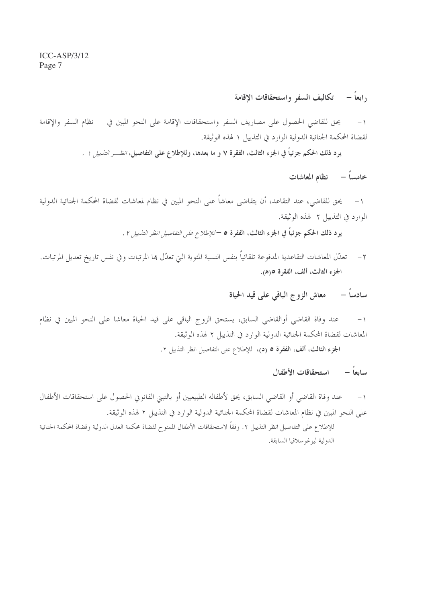## <sub>د</sub>ابعاً – تكاليف السفر واستحقاقات الإقامة

نظام السفر والاقامة يحق للقاضي الحصول على مصاريف السفر واستحقاقات الإقامة على النحو المبين في  $-1$ لقضاة المحكمة الجنائية الدولية الوارد في التذييل ١ لهذه الوثيقة.

يو د ذلك الحكم جزئياً في الجزء الثالث، الفقرة ٧ و ما بعدها، وللإطلاع على التفاصيل، *انظـــر التذييل ١ .* 

خامساً – نظام المعاشات

١– يحق للقاضي، عند التقاعد، أن يتقاضى معاشاً على النحو المبين في نظام لمعاشات لقضاة المحكمة الجنائية الدولية الوارد في التذيبل ٢ لهذه الوثيقة.

يو د ذلك الحكم جزئياً في الجزء الثالث، الفقرة ٥ – *للإطلاع على التفاصيل انظر التذييل* ٢ .

٢ – تعدّل المعاشات التقاعدية المدفوعة تلقائياً بنفس النسبة المثوية التي تعدّل ها المرتبات وفي نفس تاريخ تعديل المرتبات. الجزء الثالث، ألف، الفقرة ٥(ه).

## سادساً – معاش الزوج الباقي على قيد الحياة

عند وفاة القاضي أوالقاضي السابق، يستحق الزوج الباقي على قيد الحياة معاشا على النحو المين في نظام  $-1$ المعاشات لقضاة المحكمة الجنائية الدولية الوارد في التذييل ٢ لهذه الوثيقة.

الجزء الثالث، ألف، الفقرة ٥ (د)، للإطلاع على التفاصيل انظر التذييل ٢.

سابعاً – استحقاقات الأطفال

عند وفاة القاضي أو القاضي السابق، يحق لأطفاله الطبيعيين أو بالتبني القانوني الحصول على استحقاقات الأطفال  $-1$ على النحو المبين في نظام المعاشات لقضاة المحكمة الجنائية الدولية الوارد في التذييل ٢ لهذه الوثيقة. للإطلاع على التفاصيل انظر التذييل ٢. وفقاً لاستحقاقات الأطفال الممنوح لقضاة محكمة العدل الدولية وقضاة المحكمة الجنائية الدولية ليوغو سلافيا السابقة.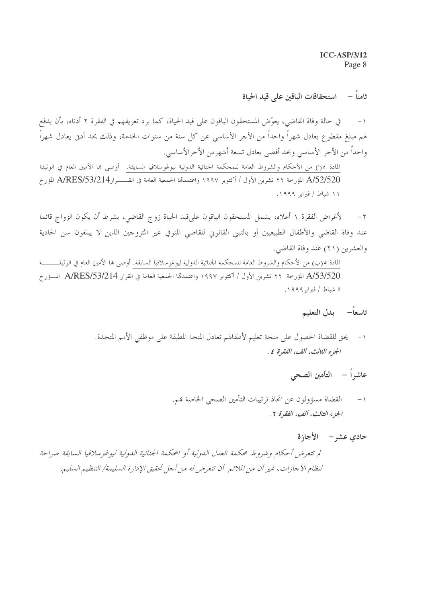**ICC-ASP/3/12** Page 8

## ثامناً – استحقاقات الباقين على قيد الحياة

في حالة وفاة القاضي، يعوِّض المستحقون الباقون على قيد الحياة، كما يرد تعريفهم في الفقرة ٢ أدناه، بأن يدفع  $-1$ لهم مبلغ مقطوع يعادل شهراً واحداً من الأجر الأساسي عن كل سنة من سنوات الخدمة، وذلك بحد أدنى يعادل شهراً واحداً من الأجر الأساسي وبحد أقصى يعادل تسعة أشهر من الأجرالأساسي. المادة ٥(١) من الأحكام والشروط العامة للمحكمة الجنائية الدولية ليوغوسلافيا السابقة. أوصى بما الأمين العام في الوثيقة A/52/520 المؤرخة ٢٢ تشرين الأول / أكتوبر ١٩٩٧ واعتمدها الجمعية العامة في القـــــرارA/RES/53/214 المؤرخ ۱۱ شباط / فبرایر ۱۹۹۹.

لأغراض الفقرة ١ أعلاه، يشمل المستحقون الباقون على قيد الحياة زوج القاضي، بشرط أن يكون الزواج قائما  $-\tau$ عند وفاة القاضي والأطفال الطبيعيين أو بالتبني القانوني للقاضي المتوفي غير المتزوجين الذين لا يبلغون سن الحادية والعشرين (٢١) عند وفاة القاضي.

المادة ٥(ب) من الأحكام والشروط العامة للمحكمة الجنائية الدولية ليوغوسلافيا السابقة. أوصى بما الأمين العام في الوثيقــــــــــة A/53/520 المؤرخة ٢٢ تشرين الأول / أكتوبر ١٩٩٧ واعتمدها الجمعية العامة في القرار A/RES/53/214 المسؤرخ ١١ شباط / فبراير ١٩٩٩.

### تاسعاً– بدل التعليم

- ١- يحق للقضاة الحصول على منحة تعليم لأطفالهم تعادل المنحة المطبقة على موظفى الأمم المتحدة. الجزء الثالث، ألف، الفقرة عي
	- عاشراً التأمين الصحى
	- القضاة مسؤولون عن اتخاذ ترتيبات التأمين الصحى الخاصة بمم.  $-1$ الجزء الثالث، ألف، الفقرة 7 .
- حادي عشه الأجازة لم تتعرض أحكام وشروط محكمة العدل الدولية أو المحكمة الجنائية الدولية ليوغوسلافيا السابقة صراحة لنظام الأجازات، غير أن من الملائم أن تتعرض له من أجل تحقيق الإدارة السليمة/ التنظيم السليم.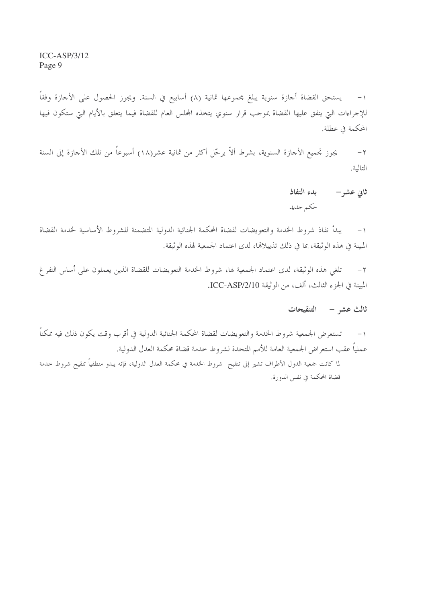١– يستحق القضاة أجازة سنوية يبلغ مجموعها ثمانية (٨) أسابيع في السنة. ويجوز الحصول على الأجازة وفقاً للإجراءات التي يتفق عليها القضاة بموجب قرار سنوي يتخذه المجلس العام للقضاة فيما يتعلق بالأيام التي ستكون فيها المحكمة في عطلة.

يجوز تجميع الأجازة السنوية، بشرط ألاّ يرحّل أكثر من ثمانية عشر(١٨) أسبوعاً من تلك الأجازة إلى السنة  $-\tau$ التالية.

> يدء النفاذ ثانی عشر – حكم جديد

١– يبدأ نفاذ شروط الخدمة والتعويضات لقضاة المحكمة الجنائية الدولية المتضمنة للشروط الأساسية لحدمة القضاة المبينة في هذه الوثيقة، بما في ذلك تذييلالها، لدى اعتماد الجمعية لهذه الوثيقة.

تلغي هذه الوثيقة، لدى اعتماد الجمعية لها، شروط الخدمة التعويضات للقضاة الذين يعملون على أساس التفر غ  $-7$ المبينة في الجزء الثالث، ألف، من الوثيقة ICC-ASP/2/10.

ثالث عشر – التنقيحات

تستعرض الجمعية شروط الخدمة والتعويضات لقضاة المحكمة الجنائية الدولية في أقرب وقت يكون ذلك فيه ممكناً  $-1$ عملياً عقب استعراض الجمعية العامة للأمم المتحدة لشروط خدمة قضاة محكمة العدل الدولية. لما كانت جمعية الدول الأطراف تشير إلى تنقيح شروط الخدمة في محكمة العدل الدولية، فإنه يبدو منطقياً تنقيح شروط حدمة قضاة المحكمة في نفس الدورة.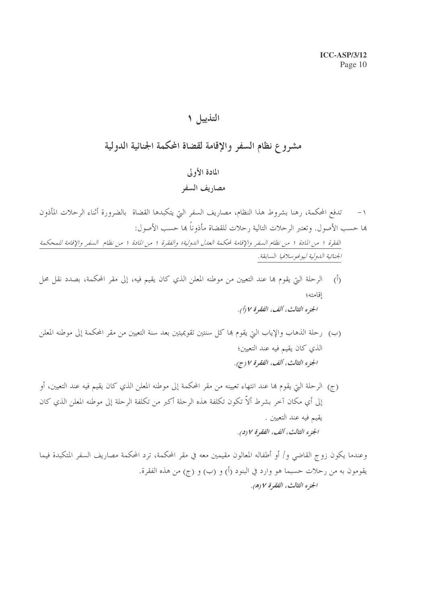## التذييل ١

## مشروع نظام السفر والإقامة لقضاة المكمة الجنائية الدولية

## المادة الأولى مصاريف السفر

### تدفع المحكمة، رهنا بشروط هذا النظام، مصاريف السفر التي يتكبدها القضاة بالضرورة أثناء الرحلات المأذون  $-1$ ها حسب الأصول. وتعتبر الرحلات التالية , حلات للقضاة مأذوناً ها حسب الأصول:

الفقرة 1 من المادة 1 من نظام السفر والإقامة لمحكمة العدل الدولية؛ والفقرة 1 من المادة 1 من نظام السفر والإقامة للمحكمة الجنائية الدولية ليوغوسلافيا السابقة.

- الرحلة التي يقوم بما عند التعيين من موطنه المعلن الذي كان يقيم فيه، إلى مقر المحكمة، بصدد نقل محل  $\langle \dot{0} \rangle$ اقامته؛ الجزء الثالث، ألف، الفقرة ٧ (أ).
- (ب) رحلة الذهاب والإياب التي يقوم هما كل سنتين تقويميتين بعد سنة التعيين من مقر المحكمة إلى موطنه المعلن الذي كان يقيم فيه عند التعيين؛ الجزء الثالث، ألف، الفقرة ٧ (ج).
- (ج) الرحلة التي يقوم بما عند انتهاء تعيينه من مقر المحكمة إلى موطنه المعلن الذي كان يقيم فيه عند التعيين، أو إلى أي مكان آخر بشرط ألاّ تكون تكلفة هذه الرحلة أكبر من تكلفة الرحلة إلى موطنه المعلن الذي كان يقيم فيه عند التعيين . الجزء الثالث، ألف، الفقرة ٧ (د).

وعندما يكون زوج القاضي و/ أو أطفاله المعالون مقيمين معه في مقر المحكمة، ترد المحكمة مصاريف السفر المتكبدة فيما يقومون به من رحلات حسبما هو وارد في البنود (أ) و (ب) و (ج) من هذه الفقرة. الجزء الثالث، الفقرة ٧ (ه).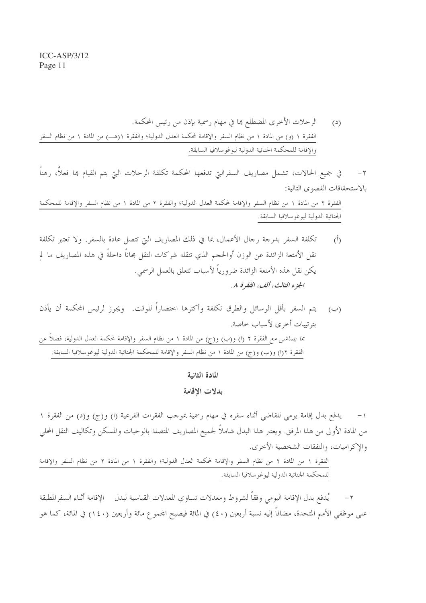في جميع الحالات، تشمل مصاريف السفرالتي تدفعها المحكمة تكلفة الرحلات التي يتم القيام بما فعلاً، رهناً  $-7$ بالاستحقاقات القصوى التالية:

الفقرة ٢ من المادة ١ من نظام السفر والإقامة لمحكمة العدل الدولية؛ والفقرة ٢ من المادة ١ من نظام السفر والإقامة للمحكمة الجنائية الدولية ليوغوسلافيا السابقة.

- تكلفة السفر بدرجة رجال الأعمال، بما في ذلك المصاريف التي تتصل عادة بالسفر. ولا تعتبر تكلفة  $(\mathring{L})$ نقل الأمتعة الزائدة عن الوزن أوالحجم الذي تنقله شركات النقل مجاناً داخلةً في هذه المصاريف ما لم يكن نقل هذه الأمتعة الزائدة ضرورياً لأسباب تتعلق بالعمل الرسمي. الجزء الثالث، ألف، الفقرة ٨.
- (ب) يتم السفر بأقل الوسائل والطرق تكلفة وأكثرها اختصاراً للوقت. ويجوز لرئيس المحكمة أن يأذن بترتيبات أخرى لأسباب حاصة. بما يتماشى مع الفقرة ٢ (ا) و(ب) و(ج) من المادة ١ من نظام السفر والإقامة لمحكمة العدل الدولية، فضلاً عن الفقرة ٢(ا) و(ب) و(ج) من المادة ١ من نظام السفر والإقامة للمحكمة الجنائية الدولية ليوغوسلافيا السابقة.

المادة الثانية

بدلات الاقامة

يدفع بدل إقامة يومي للقاضي أثناء سفره في مهام رسمية بموجب الفقرات الفرعية (ا) و(ج) و(د) من الفقرة ١  $-1$ من المادة الأولى من هذا المرفق. ويعتبر هذا البدل شاملاً لجميع المصاريف المتصلة بالوجبات والمسكن وتكاليف النقل المحلي والاكراميات، والنفقات الشخصية الأخرى.

الفقرة ١ من المادة ٢ من نظام السفر والإقامة لمحكمة العدل الدولية؛ والفقرة ١ من المادة ٢ من نظام السفر والإقامة للمحكمة الجنائية الدولية ليوغو سلافيا السابقة.

يُدفع بدل الإقامة اليومي وفقاً لشروط ومعدلات تساوي المعدلات القياسية لبدل للإقامة أثناء السفرالمطبقة على موظفى الأمم المتحدة، مضافاً إليه نسبة أربعين (٤٠) في المائة فيصبح المحموع مائة وأربعين (١٤٠) في المائة، كما هو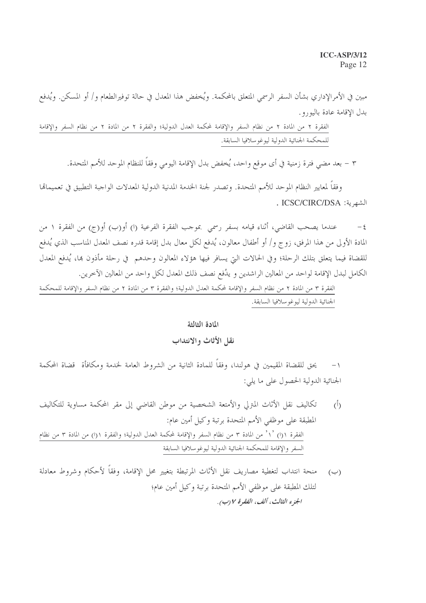#### **ICC-ASP/3/12** Page 12

مبين في الأمرالإداري بشأن السفر الرسمي المتعلق بالمحكمة. ويُخفض هذا المعدل في حالة توفيرالطعام و/ أو المسكن. ويُدفع بدل الإقامة عادة باليورو .

الفقرة ٢ من المادة ٢ من نظام السفر والإقامة لمحكمة العدل الدولية؛ والفقرة ٢ من المادة ٢ من نظام السفر والإقامة للمحكمة الجنائية الدولية ليوغوسلافيا السابقة.

٣ – بعد مضى فترة زمنية في أي موقع واحد، يُخفض بدل الإقامة اليومي وفقاً للنظام الموحد للأمم المتحدة.

وفقاً لمعايير النظام الموحد للأمم المتحدة. وتصدر لجنة الخدمة المدنية الدولية المعدلات الواجبة التطبيق في تعميماقما . ICSC/CIRC/DSA : الشهرية:

عندما يصحب القاضي، أثناء قيامه بسفرٍ رسمي بموجب الفقرة الفرعية (ا) أو(ب) أو(ج) من الفقرة ١ من  $-\xi$ المادة الأولى من هذا المرفق، زوج و/ أو أطفال معالون، يُدفع لكل معال بدل إقامة قدره نصف المعدل المناسب الذي يُدفع للقضاة فيما يتعلق بتلك الرحلة؛ وفي الحالات التي يسافر فيها هؤلاء المعالون وحدهم في رحلة مأذون ها، يُدفع المعدل الكامل لبدل الإقامة لواحد من المعالين الراشدين و يدُفع نصف ذلك المعدل لكل واحد من المعالين الآخرين.

الفقرة ٣ من المادة ٢ من نظام السفر والإقامة لمحكمة العدل الدولية؛ والفقرة ٣ من المادة ٢ من نظام السفر والإقامة للمحكمة الجنائية الدولية ليوغو سلافيا السابقة.

#### المادة الثالثة

#### نقل الأثاث والانتداب

يحق للقضاة المقيمين في هولندا، وفقاً للمادة الثانية من الشروط العامة لخدمة ومكافأة قضاة المحكمة  $-1$ الجنائية الدولية الحصول على ما يلي:

- تكاليف نقل الأثاث المترلي والأمتعة الشخصية من موطن القاضي إلى مقر المحكمة مساوية للتكاليف  $\langle \hat{b} \rangle$ المطبقة على موظفى الأمم المتحدة برتبة وكيل أمين عام: الفقرة ١(١) `١` من المادة ٣ من نظام السفر والإقامة لمحكمة العدل الدولية؛ والفقرة ١(١) من المادة ٣ من نظام السفر والإقامة للمحكمة الجنائية الدولية ليوغوسلافيا السابقة
- منحة انتداب لتغطية مصاريف نقل الأثاث المرتبطة بتغيير محل الإقامة، وفقاً لأحكام وشروط معادلة  $(\hookrightarrow)$ لتلك المطبقة على موظفي الأمم المتحدة برتبة وكيل أمين عام؛ الجزء الثالث، ألف، الفقرة ٧ (ب).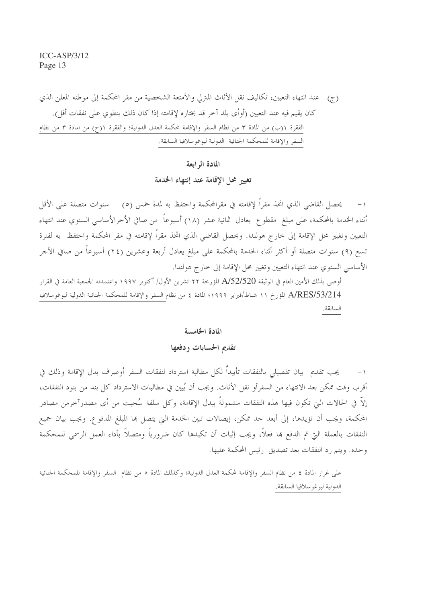(ج) عند انتهاء التعيين، تكاليف نقل الأثاث المترلي والأمتعة الشخصية من مقر المحكمة إلى موطنه المعلن الذي كان يقيم فيه عند التعيين (أوأى بلد آخر قد يختاره لإقامته إذا كان ذلك ينطوي على نفقات أقل). الفقرة ١(ب) من المادة ٣ من نظام السفر والإقامة لمحكمة العدل الدولية؛ والفقرة ١(ج) من المادة ٣ من نظام السفر والإقامة للمحكمة الجنائية الدولية ليوغو سلافيا السابقة.

## المادة الم ابعة

تغيير محل الإقامة عند إنتهاء الخدمة

يحصل القاضي الذي اتخذ مقراً لإقامته في مقرالمحكمة واحتفظ به لمدة خمس (٥) ٪ سنوات متصلة على الأقل أثناء الخدمة بالمحكمة، على مبلغ مقطو ع يعادل ثمانية عشر (١٨) أسبوعاً من صافي الأجرالأساسي السنوي عند انتهاء التعيين وتغيير محل الإقامة إلى حارج هولندا. ويحصل القاضي الذي اتخذ مقراً لإقامته في مقر المحكمة واحتفظ به لفترة تسع (٩) سنوات متصلة أو أكثر أثناء الخدمة بالمحكمة على مبلغ يعادل أربعة وعشرين (٢٤) أسبوعاً من صافي الأجر الأساسي السنوي عند انتهاء التعيين وتغيير محل الإقامة إلى خارج هولندا.

أوصى بذلك الأمين العام في الوثيقة A/52/520 المؤرخة ٢٢ تشرين الأول/ أكتوبر ١٩٩٧ واعتمدته الجمعية العامة في القرار A/RES/53/214 المؤرخ ١١ شباط/فبراير ١٩٩٩؛ المادة ٤ من نظام السفر والإقامة للمحكمة الجنائية الدولية ليوغوسلافيا السابقة.

#### المادة الخامسة

#### تقديم الحسابات ودفعها

١− يجب تقديم بيان تفصيلي بالنفقات تأييداً لكل مطالبة استرداد لنفقات السفر أوصرف بدل الإقامة وذلك في أقرب وقت ممكن بعد الانتهاء من السفرأو نقل الأثاث. ويجب أن يُبين في مطالبات الاسترداد كل بند من بنود النفقات، إلاَّ في الحالات التي تكون فيها هذه النفقات مشمولةً ببدل الإقامة، وكل سلفة سُحبت من أي مصدرآخرمن مصادر المحكمة، ويجب أن تؤيدها، إلى أبعد حد ممكن، إيصالات تبين الخدمة التي يتصل ها المبلغ المدفوع. ويجب بيان جميع النفقات بالعملة التي تم الدفع ها فعلاً، ويجب إثبات أن تكبدها كان ضرورياً ومتصلاً بأداء العمل الرسمي للمحكمة وحده. ويتم رد النفقات بعد تصديق رئيس المحكمة عليها.

على غرار المادة ٤ من نظام السفر والإقامة لمحكمة العدل الدولية؛ وكذلك المادة ٥ من نظام السفر والإقامة للمحكمة الجنائية الدولية ليوغو سلافيا السابقة.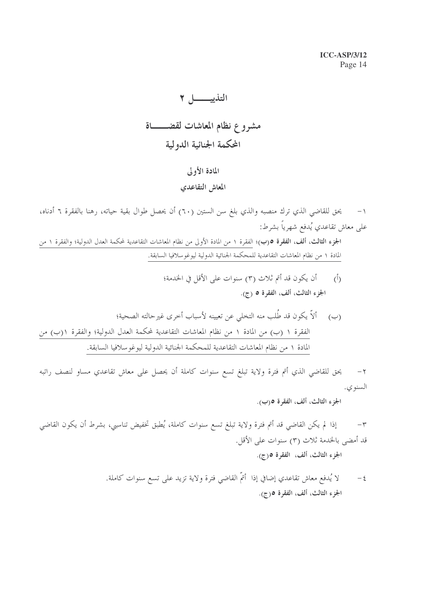# مشروع نظام المعاشات لقضــــاة المحكمة الجنائية الدولية

### المادة الأولى

### المعاش التقاعدي

يحق للقاضي الذي ترك منصبه والذي بلغ سن الستين (٦٠) أن يحصل طوال بقية حياته، رهنا بالفقرة ٦ أدناه،  $-1$ على معاش تقاعدي يُدفع شهرياً بشرط: الجزء الثالث، ألف، الفقرة ٥(ب)؛ الفقرة ١ من المادة الأولى من نظام المعاشات التقاعدية لمحكمة العدل الدولية؛ والفقرة ١ من المادة ١ من نظام المعاشات التقاعدية للمحكمة الجنائية الدولية ليوغو سلافيا السابقة.

> أن يكون قد أتم ثلاث (٣) سنوات على الأقل في الخدمة؛  $\langle \hat{L} \rangle$ الجزء الثالث، ألف، الفقرة ٥ (ج).

يحق للقاضي الذي أتم فترة ولاية تبلغ تسع سنوات كاملة أن يحصل على معاش تقاعدي مساو لنصف راتبه  $-7$ السنوي.

الجزء الثالث، ألف، الفقرة ٥(ب).

إذا لم يكن القاضي قد أتم فترة ولاية تبلغ تسع سنوات كاملة، يُطبق تخفيض تناسبي، بشرط أن يكون القاضي  $-\tau$ قد أمضى بالخدمة ثلاث (٣) سنوات على الأقل. الجزء الثالث، ألف، الفقرة ٥(ج).

> لا يُدفع معاش تقاعدي إضافي إذا أتمَّ القاضي فترة ولاية تزيد على تسع سنوات كاملة.  $-\xi$ الجزء الثالث، ألف، الفقرة ٥(ج).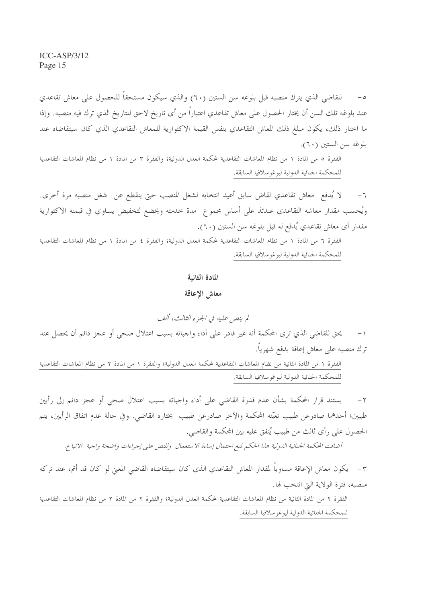للقاضي الذي يترك منصبه قبل بلوغه سن الستين (٦٠) والذي سيكون مستحقاً للحصول على معاش تقاعدي  $-$  0 عند بلوغه تلك السن أن يختار الحصول على معاش تقاعدي اعتباراً من أى تاريخ لاحق للتاريخ الذي ترك فيه منصبه. وإذا ما اختار ذلك، يكون مبلغ ذلك المعاش التقاعدي بنفس القيمة الاكتوارية للمعاش التقاعدي الذي كان سيتقاضاه عند بلوغه سن الستين (٦٠).

الفقرة ٥ من المادة ١ من نظام المعاشات التقاعدية لمحكمة العدل الدولية؛ والفقرة ٣ من المادة ١ من نظام المعاشات التقاعدية للمحكمة الجنائية الدولية ليوغوسلافيا السابقة.

لا يُدفع ۖ معاش تقاعدي لقاض سابق أعيد انتخابه لشغل المنصب حتى ينقطع عن ۖ شغل منصبه مرة أخرى.  $-7$ ويُحسب مقدار معاشه التقاعدي عندئذ على أساس مجموع ً مدة خدمته ويخضع لتخفيض يساوي في قيمته الاكتوارية مقدار أي معاش تقاعدي يُدفع له قبل بلوغه سن الستين (٦٠).

الفقرة ٦ من المادة ١ من نظام المعاشات التقاعدية لمحكمة العدل الدولية؛ والفقرة ٤ من المادة ١ من نظام المعاشات التقاعدية للمحكمة الجنائية الدولية ليوغوسلافيا السابقة.

#### المادة الثانية

#### معاش الإعاقة

لم ينص عليه في الجزء الثالث، ألف يحق للقاضي الذي ترى المحكمة أنه غير قادر على أداء واجباته بسبب اعتلال صحى أو عجز دائم أن يحصل عند  $-1$ ترك منصبه على معاش إعاقة يدفع شهريا. الفقرة ١ من المادة الثانية من نظام المعاشات التقاعدية لمحكمة العدل الدولية؛ والفقرة ١ من المادة ٢ من نظام المعاشات التقاعدية للمحكمة الجنائية الدولية ليوغوسلافيا السابقة.

يستند قرار المحكمة بشأن عدم قدرة القاضي على أداء واجباته بسبب اعتلال صحي أو عجز دائم إلى رأيين  $-7$ طبيين؛ أحدهما صادرعن طبيب تعيّنه المحكمة والآخر صادرعن طبيب يختاره القاضي. وفي حالة عدم اتفاق الرأيين، يتم الحصول على رأى ثالث من طبيب يُتفق عليه بين المحكمة والقاضي.

أضافت المحكمة الجنائية الدولية هذا الحكم لمنع احتمال إساءة الاستعمال وللنص على إجراءات واضحة واجبة الاتباع.

٣– يكون معاش الإعاقة مساوياً لمقدار المعاش التقاعدي الذي كان سيتقاضاه القاضى المعنى لو كان قد أتم، عند تركه منصبه، فترة الولاية التي انتخب لها.

الفقرة ٢ من المادة الثانية من نظام المعاشات التقاعدية لمحكمة العدل الدولية؛ والفقرة ٢ من المادة ٢ من نظام المعاشات التقاعدية للمحكمة الجنائية الدولية ليوغو سلافيا السابقة.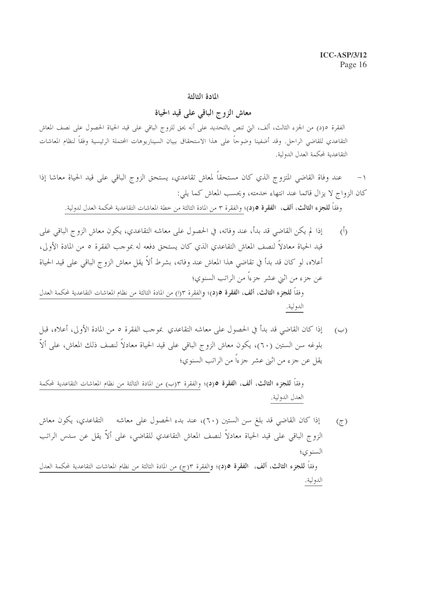#### المادة الثالثة

### معاش الزوج الباقي على قيد الحياة

الفقرة ٥(د) من الجزء الثالث، ألف، التي تنص بالتحديد على أنه يحق للزوج الباقي على قيد الحياة الحصول على نصف المعاش التقاعدي للقاضى الراحل. وقد أضفينا وضوحاً على هذا الاستحقاق ببيان السيناريوهات المحتملة الرئيسية وفقاً لنظام المعاشات التقاعدية لمحكمة العدل الدولية.

عند وفاة القاضي المتزوج الذي كان مستحقاً لمعاش تقاعدي، يستحق الزوج الباقي على قيد الحياة معاشا إذا  $-1$ كان الزواج لا يزال قائما عند انتهاء خدمته، ويحسب المعاش كما يلي:

وفقاً **للجزء الثالث، ألف، الفقرة 0(د**)؛ والفقرة ٣ من المادة الثالثة من خطة المعاشات التقاعدية لمحكمة العدل لدولية.

- إذا لم يكن القاضي قد بدأ، عند وفاته، في الحصول على معاشه التقاعدي، يكون معاش الزوج الباقي على  $\overline{(\overline{)}\,}$ قيد الحياة معادلاً لنصف المعاش التقاعدي الذي كان يستحق دفعه له بموجب الفقرة ٥ من المادة الأولى، أعلاه، لو كان قد بدأ في تقاضي هذا المعاش عند وفاته، بشرط ألاَّ يقل معاش الزوج الباقي على قيد الحياة عن جزء من اثبي عشر جزءاً من الراتب السنوي؛ وفقاً **للجزء الثالث، ألف، الفقرة ٥**(د)؛ والفقرة ٣(١) من المادة الثالثة من نظام المعاشات التقاعدية لمحكمة العدل الدولية.
- إذا كان القاضي قد بدأ في الحصول على معاشه التقاعدي بموجب الفقرة ٥ من المادة الأولى، أعلاه، قبل  $(\hookrightarrow)$ بلوغه سن الستين (٦٠)، يكون معاش الزوج الباقي على قيد الحياة معادلاً لنصف ذلك المعاش، على ألاّ يقل عن جزء من اثني عشر جزءاً من الراتب السنوي؛

وفقاً **للجزء الثالث، ألف، الفقرة ٥(د**)؛ والفقرة ٣(ب) من المادة الثالثة من نظام المعاشات التقاعدية لمحكمة العدل الدولية.

إذا كان القاضي قد بلغ سن الستين (٦٠)، عند بدء الحصول على معاشه لالتقاعدي، يكون معاش  $(\tau)$ الزوج الباقي على قيد الحياة معادلاً لنصف المعاش التقاعدي للقاضي، على ألاّ يقل عن سدس الراتب السنو ي؛ وفقاً **للجزء الثالث، ألف، الفقرة ٥(د)؛ و**الفقرة ٣(ج) من المادة الثالثة من نظام المعاشات التقاعدية لمحكمة العدل الدولية.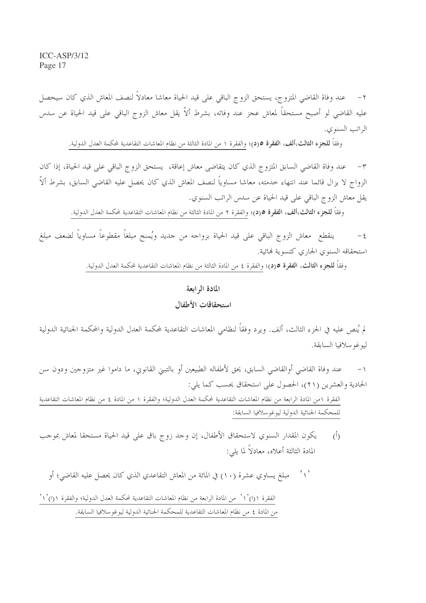عند وفاة القاضي المتزوج، يستحق الزوج الباقي على قيد الحياة معاشا معادلاً لنصف المعاش الذي كان سيحصل عليه القاضي لو أصبح مستحقاً لمعاش عجز عند وفاته، بشرط ألاّ يقل معاش الزوج الباقي على قيد الحياة عن سدس الراتب السنوى.

وفقاً **للجزء الثالث،ألف، الفقرة 0(د)؛** والفقرة ١ من المادة الثالثة من نظام المعاشات التقاعدية لمحكمة العدل الدولية.

عند وفاة القاضي السابق المتزوج الذي كان يتقاضى معاش إعاقة، يستحق الزوج الباقي على قيد الحياة، إذا كان  $-1$ الزواج لا يزال قائما عند انتهاء خدمته، معاشا مساوياً لنصف المعاش الذي كان يحصل عليه القاضى السابق، بشرط ألاّ يقل معاش الزو ج الباقي على قيد الحياة عن سدس الراتب السنوي.

وفقا **للجزء الثالث،ألف، الفقرة ٥**(د)؛ والفقرة ٢ من المادة الثالثة من نظام المعاشات التقاعدية لمحكمة العدل الدولية.

ينقطع معاش الزوج الباقي على قيد الحياة بزواجه من حديد ويُمنح مبلغاً مقطوعاً مساوياً لضعف مبلغ  $-\xi$ استحقاقه السنوى الجارى كتسوية فمائية.

وفقاً **للجزء الثالث، الفقرة ٥(د)؛** والفقرة ٤ من المادة الثالثة من نظام المعاشات التقاعدية لمحكمة العدل الدولية.

#### المادة الرابعة

#### استحقاقات الأطفال

لم يُنص عليه في الجزء الثالث، ألف. ويرد وفقاً لنظامى المعاشات التقاعدية لمحكمة العدل الدولية والمحكمة الجنائية الدولية ليوغو سلافيا السابقة.

عند وفاة القاضي أوالقاضي السابق، يحق لأطفاله الطبيعين أو بالتبني القانويي، ما داموا غير متزوجين ودون سن الحادية والعشرين (٢١)، الحصول على استحقاق يحسب كما يلي:

الفقرة ١من المادة الرابعة من نظام المعاشات التقاعدية لمحكمة العدل الدولية؛ والفقرة ١ من المادة ٤ من نظام المعاشات التقاعدية للمحكمة الجنائية الدولية ليوغو سلافيا السابقة:

يكون المقدار السنوي لاستحقاق الأطفال، إن وحد زوج باق على قيد الحياة مستحقا لمعاش بموحب  $\tilde{(\Lambda)}$ المادة الثالثة أعلاه، معادلاً لما يلي:

 $, \cdot, \cdot$ مبلغ يساوى عشرة (١٠) في المائة من المعاش التقاعدي الذي كان يحصل عليه القاضي؛ أو

الفقرة ١(١) ْ ١ ْ من المادة الرابعة من نظام المعاشات التقاعدية لمحكمة العدل الدولية؛ والفقرة ١(١) ْ ١ ْ من المادة ٤ من نظام المعاشات التقاعدية للمحكمة الجنائية الدولية ليوغوسلافيا السابقة.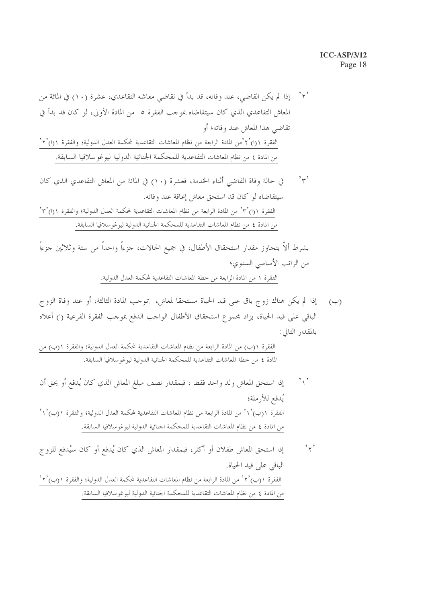#### **ICC-ASP/3/12** Page 18

 $, \cdot, \cdot$ في حالة وفاة القاضي أثناء الخدمة، فعشرة (١٠) في المائة من المعاش التقاعدي الذي كان سيتقاضاه لو كان قد استحق معاش إعاقة عند وفاته. الفقرة ١(١) ْ٣° من المادة الرابعة من نظام المعاشات التقاعدية لمحكمة العدل الدولية؛ والفقرة ١(١) ْ٣° من المادة ٤ من نظام المعاشات التقاعدية للمحكمة الجنائية الدولية ليوغوسلافيا السابقة.

بشرط ألاّ يتجاوز مقدار استحقاق الأطفال، في جميع الحالات، جزءاً واحداً من ستة وثلاثين جزءاً من الراتب الأساسي السنوي؛ الفقرة ١ من المادة الرابعة من خطة المعاشات التقاعدية لمحكمة العدل الدولية.

إذا لم يكن هناك زوج باق على قيد الحياة مستحقا لمعاش، بموجب المادة الثالثة، أو عند وفاة الزوج  $(\hookrightarrow)$ الباقي على قيد الحياة، يزاد مجموع استحقاق الأطفال الواحب الدفع بموحب الفقرة الفرعية (ا) أعلاه بالمقدار التالي:

الفقرة ١(ب) من المادة الرابعة من نظام المعاشات التقاعدية لمحكمة العدل الدولية؛ والفقرة ١(ب) من المادة ٤ من خطة المعاشات التقاعدية للمحكمة الجنائية الدولية ليوغوسلافيا السابقة.

- إذا استحق المعاش ولد واحد فقط ، فبمقدار نصف مبلغ المعاش الذي كان يُدفع أو يحق أن  $\left\langle \cdot \right\rangle$ يُدفع للأرملة؛ الفقرة ١(ب) `١ ْ من المادة الرابعة من نظام المعاشات التقاعدية لمحكمة العدل الدولية؛ والفقرة ١(ب) `١ ْ من المادة ٤ من نظام المعاشات التقاعدية للمحكمة الجنائية الدولية ليوغوسلافيا السابقة.
- إذا استحق المعاش طفلان أو أكثر، فبمقدار المعاش الذي كان يُدفع أو كان سيُدفع للزوج  $, \forall$ الباقي على قيد الحياة. الفقرة ١(ب) ْ ٢ ْ من المادة الرابعة من نظام المعاشات التقاعدية لمحكمة العدل الدولية؛ والفقرة ١(ب) ْ ٢ ْ من المادة ٤ من نظام المعاشات التقاعدية للمحكمة الجنائية الدولية ليوغوسلافيا السابقة.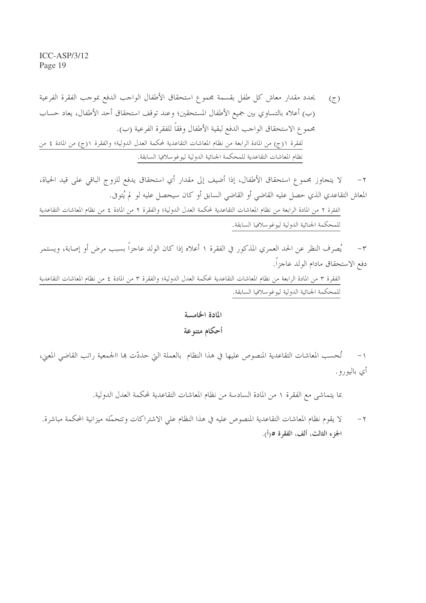لا يتحاوز مجموع استحقاق الأطفال، إذا أضيف إلى مقدار أي استحقاق يدفع للزوج الباقي على قيد الحياة،  $-7$ المعاش التقاعدي الذي حصل عليه القاضي أو القاضي السابق أو كان سيحصل عليه لو لم يُتوفى.

الفقرة ٢ من المادة الرابعة من نظام المعاشات التقاعدية لمحكمة العدل الدولية؛ والفقرة ٢ من المادة ٤ من نظام المعاشات التقاعدية للمحكمة الجنائية الدولية ليوغو سلافيا السابقة.

يُصرف النظر عن الحد العمري المذكور في الفقرة ١ أعلاه إذا كان الولد عاجزاً بسبب مرضٍ أو إصابة، ويستمر  $-\tau$ دفع الاستحقاق مادام الولد عاجزاً.

الفقرة ٣ من المادة الرابعة من نظام المعاشات التقاعدية لمحكمة العدل الدولية؛ والفقرة ٣ من المادة ٤ من نظام المعاشات التقاعدية للمحكمة الجنائية الدولية ليوغوسلافيا السابقة.

> المادة الخامسة أحكام متنوعة

١– تُحسب المعاشات التقاعدية المنصوص عليها في هذا النظام بالعملة التي حددّت ها االجمعية راتب القاضي المعني، أي باليورو .

بما يتماشى مع الفقرة ١ من المادة السادسة من نظام المعاشات التقاعدية لمحكمة العدل الدولية.

لا يقوم نظام المعاشات التقاعدية المنصوص عليه في هذا النظام على الاشتراكات وتتحمَّله ميزانية المحكمة مباشرة.  $-7$ الجزء الثالث، ألف، الفقرة ٥(أ).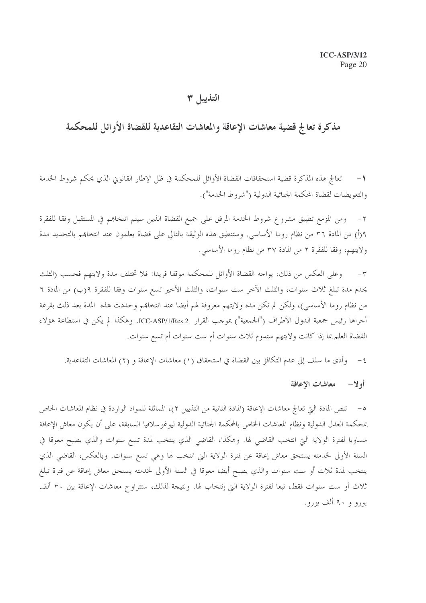### التذييل ٣

## مذكرة تعالج قضية معاشات الإعاقة والمعاشات التقاعدية للقضاة الأوائل للمحكمة

تعالج هذه المذكرة قضية استحقاقات القضاة الأوائل للمحكمة في ظل الإطار القانوين الذي يحكم شروط الخدمة  $-1$ والتعويضات لقضاة المحكمة الجنائية الدولية ("شروط الخدمة").

ومن المزمع تطبيق مشروع شروط الخدمة المرفق على جميع القضاة الذين سيتم انتخاهم في المستقبل وفقا للفقرة ٩(أ) من المادة ٣٦ من نظام روما الأساسي. وستنطبق هذه الوثيقة بالتالي على قضاة يعلمون عند انتخاهم بالتحديد مدة ولايتهم، وفقا للفقرة ٢ من المادة ٣٧ من نظام روما الأساسي.

وعلى العكس من ذلك، يواجه القضاة الأوائل للمحكمة موقفا فريدا: فلا تختلف مدة ولايتهم فحسب (الثلث  $-{\bf r}$ يخدم مدة تبلغ ثلاث سنوات، والثلث الآخر ست سنوات، والثلث الأخير تسع سنوات وفقا للفقرة ٩(ب) من المادة ٦ من نظام روما الأساسي)، ولكن لم تكن مدة ولايتهم معروفة لهم أيضا عند انتخابهم وحددت هذه المدة بعد ذلك بقرعة أجراها رئيس جمعية الدول الأطراف ("الجمعية") بموجب القرار ICC-ASP/1/Res.2. وهكذا لم يكن في استطاعة هؤلاء القضاة العلم بما إذا كانت ولايتهم ستدوم ثلاث سنوات أم ست سنوات أم تسع سنوات.

وأدى ما سلف إلى عدم التكافؤ بين القضاة في استحقاق (١) معاشات الإعاقة و (٢) المعاشات التقاعدية.  $-\xi$ 

#### أولا— معاشات الإعاقة

٥– تنص المادة التي تعالج معاشات الإعاقة (المادة الثانية من التذييل ٢)، المماثلة للمواد الواردة في نظام المعاشات الخاص بمحكمة العدل الدولية ونظام المعاشات الخاص بالمحكمة الجنائية الدولية ليوغوسلافيا السابقة، على أن يكون معاش الإعاقة مساويا لفترة الولاية التي انتخب القاضي لها. وهكذا، القاضي الذي ينتخب لمدة تسع سنوات والذي يصبح معوقا في السنة الأولى لخدمته يستحق معاش إعاقة عن فترة الولاية التي انتخب لها وهي تسع سنوات. وبالعكس، القاضي الذي ينتخب لمدة ثلاث أو ست سنوات والذي يصبح أيضا معوقا في السنة الأولى لخدمته يستحق معاش إعاقة عن فترة تبلغ ثلاث أو ست سنوات فقط، تبعا لفترة الولاية التي إنتخاب لها. ونتيجة لذلك، ستتراوح معاشات الإعاقة بين ٣٠ ألف يورو و ۹۰ ألف يورو.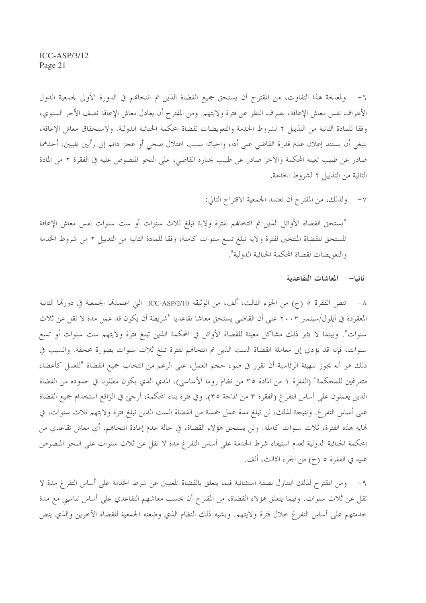٦– ولمعالجة هذا التفاوت، من المقترح أن يستحق جميع القضاة الذين تم انتخاهم في الدورة الأولى لجمعية الدول الأطراف نفس معاش الإعاقة، بصرف النظر عن فترة ولايتهم. ومن المقترح أن يعادل معاش الإعاقة نصف الأجر السنوي، وفقا للمادة الثانية من التذييل ٢ لشروط الحدمة والتعويضات لقضاة المحكمة الجنائية الدولية. ولاستحقاق معاش الإعاقة، ينبغي أن يستند إعلان عدم قدرة القاضي على أداء واجباته بسبب اعتلال صحى أو عجز دائم إلى رأيين طبيين، أحدهما صادر عن طبيب تعينه المحكمة والآخر صادر عن طبيب يختاره القاضي، على النحو المنصوص عليه في الفقرة ٢ من المادة الثانية من التذييل ٢ لشروط الخدمة.

> ولذلك، من المقترح أن تعتمد الجمعية الاقتراح التالي:  $-\vee$

"يستحق القضاة الأوائل الذين تم انتخاهم لفترة ولاية تبلغ ثلاث سنوات أو ست سنوات نفس معاش الإعاقة المستحق للقضاة المنتخين لفترة ولاية تبلغ تسع سنوات كاملة، وفقا للمادة الثانية من التذييل ٢ من شروط الخدمة والتعويضات لقضاة المحكمة الجنائية الدولية".

ثانيا— المعاشات التقاعدية

٨– تنص الفقرة ٥ (ج) من الجزء الثالث، ألف، من الوثيقة ICC-ASP/2/10 التي اعتمدها الجمعية في دورها الثانية المعقودة في أيلول/سبتمبر ٢٠٠٣ على أن القاضي يستحق معاشا تقاعديا "شريطة أن يكون قد عمل مدة لا تقل عن ثلاث سنوات". وبينما لا يثير ذلك مشاكل معينة للقضاة الأوائل في المحكمة الذين تبلغ فترة ولايتهم ست سنوات أو تسع سنوات، فإنه قد يؤدي إلى معاملة القضاة الست الذين تم انتخاقم لفترة تبلغ ثلاث سنوات بصورة مجحفة. والسبب في ذلك هو أنه يجوز للهيئة الرئاسية أن تقرر في ضوء حجم العمل، على الرغم من انتخاب جميع القضاة "للعمل كأعضاء متفرغين للمحكمة" (الفقرة ١ من المادة ٣٥ من نظام روما الأساسي)، المدي الذي يكون مطلوبا في حدوده من القضاة الذين يعملون على أساس التفر غ (الفقرة ٣ من الماجة ٣٥). وفي فترة بناء المحكمة، أرجئ في الواقع استخدام جميع القضاة على أساس التفرغ. ونتيجة لذلك، لن تبلغ مدة عمل خمسة من القضاة الست الذين تبلغ فترة ولايتهم ثلاث سنوات، في هَاية هذه الفترة، ثلاث سنوات كاملة. ولن يستحق هؤلاء القضاة، في حالة عدم إعادة انتخابهم، أي معاش تقاعدي من المحكمة الجنائية الدولية لعدم استيفاء شرط الخدمة على أساس التفرغ مدة لا تقل عن ثلاث سنوات على النحو المنصوص عليه في الفقرة ٥ (ج) من الجزء الثالث، ألف.

٩ – ومن المقترح لذلك التنازل بصفة استثنائية فيما يتعلق بالقضاة المعنيين عن شرط الخدمة على أساس التفرغ مدة لا تقلَّ عن ثلاث سنوات. وفيما يتعلق هؤلاء القضاة، من المقترح أن يحسب معاشهم التقاعدي على أساس تناسبي مع مدة خدمتهم على أساس التفرغ خلال فترة ولايتهم. ويشبه ذلك النظام الذي وضعته الجمعية للقضاة الآخرين والذي ينص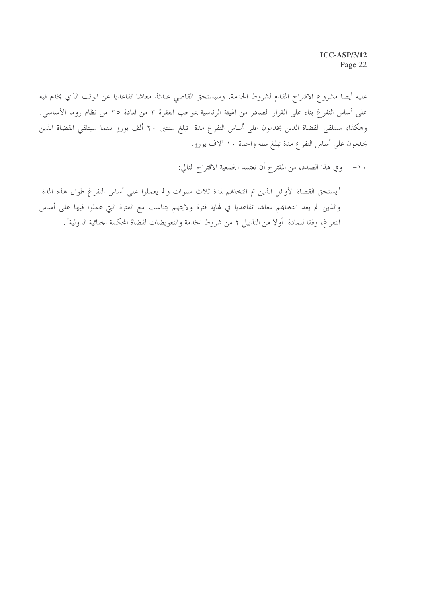عليه أيضا مشروع الاقتراح المقدم لشروط الخدمة. وسيستحق القاضي عندئذ معاشا تقاعديا عن الوقت الذي يخدم فيه على أساس التفرغ بناء على القرار الصادر من الهيئة الرئاسية بموجب الفقرة ٣ من المادة ٣٥ من نظام روما الأساسي. وهكذا، سيتلقى القضاة الذين يخدمون على أساس التفرغ مدة تبلغ سنتين ٢٠ ألف يورو بينما سيتلقى القضاة الذين يخدمون على أساس التفرغ مدة تبلغ سنة واحدة ١٠ آلاف يورو.

١٠- وفي هذا الصدد، من المقترح أن تعتمد الجمعية الاقتراح التالي:

"يستحق القضاة الأوائل الذين تم انتخاهم لمدة ثلاث سنوات ولم يعملوا على أساس التفرغ طوال هذه المدة والذين لم يعد انتخاهِم معاشا تقاعديا في نماية فترة ولايتهم يتناسب مع الفترة التي عملوا فيها على أساس التفرغ، وفقا للمادة أولا من التذييل ٢ من شروط الخدمة والتعويضات لقضاة المحكمة الجنائية الدولية".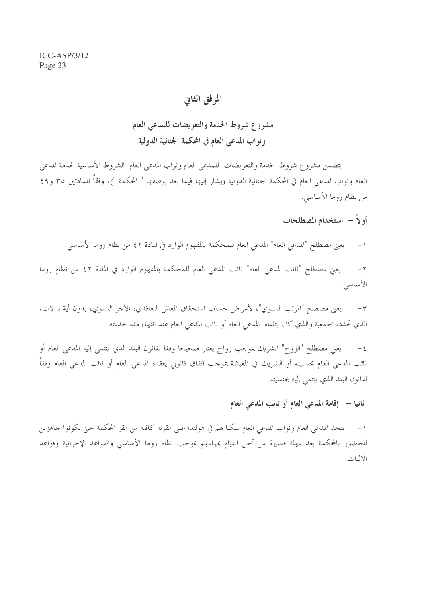## المرفق الثانى

## مشروع شروط الخدمة والتعويضات للمدعى العام ونواب المدعى العام في المحكمة الجنائية الدولية

يتضمن مشروع شروط الخدمة والتعويضات للمدعى العام ونواب المدعى العام الشروط الأساسية لخدمة المدعى العام ونواب المدعى العام في المحكمة الجنائية الدولية (يشار إليها فيما بعد بوصفها " المحكمة ")، وفقاً للمادتين ٣٥ و٤٩ من نظام روما الأساسي.

- أولاً استخدام المصطلحات
- يعني مصطلح "المدعى العام" المدعى العام للمحكمة بالمفهوم الوارد في المادة ٢ ٤ من نظام روما الأساسي.  $-1$

يعني مصطلح "نائب المدعى العام" نائب المدعى العام للمحكمة بالمفهوم الوارد في المادة ٤٢ من نظام روما  $-7$ الأساسى.

يعني مصطلح "المرتب السنوي"، لأغراض حساب استحقاق المعاش التعاقدي، الأجر السنوي، بدون أية بدلات،  $-\tau$ الذي تحدده الجمعية والذي كان يتلقاه المدعى العام أو نائب المدعى العام عند انتهاء مدة حدمته.

يعني مصطلح "الزوج" الشريك بموجب زواج يعتبر صحيحا وفقا لقانون البلد الذي ينتمي إليه المدعي العام أو  $-\xi$ نائب المدعى العام بجنسيته أو الشريك في المعيشة بموجب اتفاق قانوين يعقده المدعى العام أو نائب المدعى العام وفقاً لقانون البلد الذي ينتمي إليه بجنسيته.

ثانيا – إقامة المدعى العام أو نائب المدعى العام

يتخذ المدعى العام ونواب المدعى العام سكنا لهم في هولندا على مقربة كافية من مقر المحكمة حتى يكونوا جاهزين  $-1$ للحضور بالمحكمة بعد مهلة قصيرة من أجل القيام بمهامهم بموجب نظام روما الأساسي والقواعد الإجرائية وقواعد الاثبات.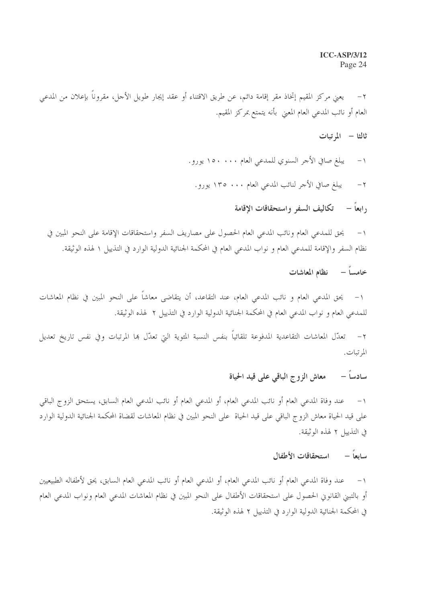يعني مركز المقيم إتخاذ مقر إقامة دائم، عن طريق الاقتناء أو عقد إيجار طويل الأجل، مقروناً بإعلان من المدعى  $-7$ العام أو نائب المدعى العام المعنى بأنه يتمتع بمركز المقيم.

- ثالثا المرتبات
- يبلغ صافي الأجر السنوي للمدعى العام ١٥٠٠ . ١٥٠ يورو .  $-1$ 
	- يبلغ صافي الأجر لنائب المدعى العام ١٣٥ . ١٣٥ يورو .  $-7$ 
		- , ابعاً تكاليف السفر واستحقاقات الاقامة

يحق للمدعى العام ونائب المدعى العام الحصول على مصاريف السفر واستحقاقات الإقامة على النحو المبين في  $-1$ نظام السفر والإقامة للمدعى العام و نواب المدعى العام في المحكمة الجنائية الدولية الوارد في التذييل ١ لهذه الوثيقة.

خامساً – نظام المعاشات

يحق المدعي العام و نائب المدعي العام، عند التقاعد، أن يتقاضى معاشاً على النحو المبين في نظام المعاشات  $-1$ للمدعى العام و نواب المدعى العام في المحكمة الجنائية الدولية الوارد في التذييل ٢ لهذه الوثيقة.

٢ – تعدّل المعاشات التقاعدية المدفوعة تلقائياً بنفس النسبة المثوية التي تعدّل هما المرتبات وفي نفس تاريخ تعديل المرتبات.

#### معاش الزوج الباقي على قيد الحياة سادساً –

١– عند وفاة المدعى العام أو نائب المدعى العام، أو المدعى العام أو نائب المدعى العام السابق، يستحق الزوج الباقي على قيد الحياة معاش الزوج الباقي على قيد الحياة على النحو المبين في نظام المعاشات لقضاة المحكمة الجنائية الدولية الوارد في التذييل ٢ لهذه الوثيقة.

سابعاً – استحقاقات الأطفال

١– عند وفاة المدعى العام أو نائب المدعى العام، أو المدعى العام أو نائب المدعى العام السابق، يحق لأطفاله الطبيعيين أو بالتبن القانوين الحصول على استحقاقات الأطفال على النحو المبين في نظام المعاشات المدعى العام ونواب المدعى العام في المحكمة الجنائية الدولية الوارد في التذييل ٢ لهذه الوثيقة.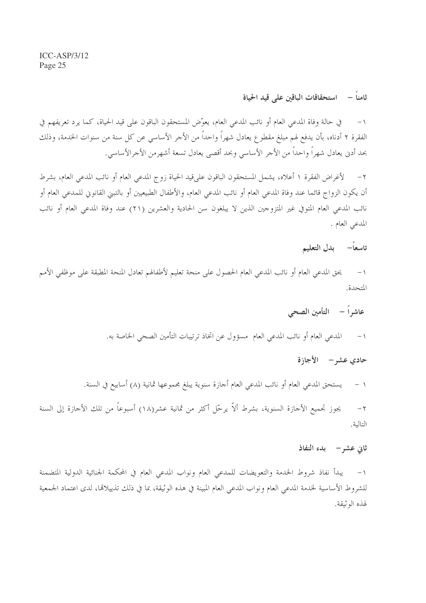### ثامناً – استحقاقات الباقين على قيد الحياة

في حالة وفاة المدعى العام أو نائب المدعى العام، يعوِّض المستحقون الباقون على قيد الحياة، كما يرد تعريفهم في  $-1$ الفقرة ٢ أدناه، بأن يدفع لهم مبلغ مقطوع يعادل شهراً واحداً من الأجر الأساسي عن كل سنة من سنوات الخدمة، وذلك بحد أدنى يعادل شهراً واحداً من الأجر الأساسي وبحد أقصى يعادل تسعة أشهرمن الأجرالأساسي.

لأغراض الفقرة ١ أعلاه، يشمل المستحقون الباقون على قيد الحياة زوج المدعى العام أو نائب المدعى العام، بشرط  $-7$ أن يكون الزواج قائما عند وفاة المدعى العام أو نائب المدعى العام، والأطفال الطبيعيين أو بالتبني القانوني للمدعى العام أو نائب المدعى العام المتوفي غير المتزوجين الذين لا يبلغون سن الحادية والعشرين (٢١) عند وفاة المدعى العام أو نائب المدعى العام .

## تاسعاً– بدل التعليم

يحق المدعى العام أو نائب المدعى العام الحصول على منحة تعليم لأطفالهم تعادل المنحة المطبقة على موظفى الأمم  $-1$ المتحدة

عاشراً – التأمين الصحى

المدعى العام أو نائب المدعى العام ٍ مسؤول عن اتخاذ ترتيبات التأمين الصحى الخاصة به.  $-1$ 

حادي عشر – الأجازة

يستحق المدعى العام أو نائب المدعى العام أجازة سنوية يبلغ مجموعها ثمانية (٨) أسابيع في السنة.  $-1$ 

يجوز تجميع الأحازة السنوية، بشرط ألاّ يرحّل أكثر من ثمانية عشر(١٨) أسبوعاً من تلك الأحازة إلى السنة  $-\tau$ التالية.

#### ثاني عشر– بدء النفاذ

يبدأ نفاذ شروط الحدمة والتعويضات للمدعى العام ونواب المدعى العام في المحكمة الجنائية الدولية المتضمنة  $-1$ للشروط الأساسية لخدمة المدعى العام ونواب المدعى العام المبينة في هذه الوثيقة، بما في ذلك تذييلاقما، لدى اعتماد الجمعية لهذه الوثيقة.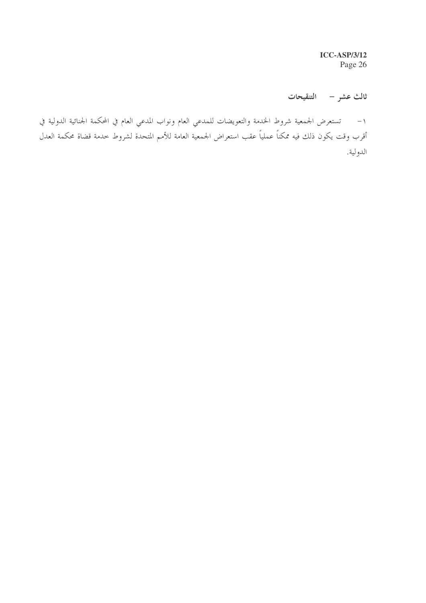**ICC-ASP/3/12** Page 26

ثالث عشر – التنقيحات

١– تستعرض الجمعية شروط الخدمة والتعويضات للمدعي العام ونواب المدعي العام في المحكمة الجنائية الدولية في أقرب وقت يكون ذلك فيه ممكناً عملياً عقب استعراض الجمعية العامة للأمم المتحدة لشروط خدمة قضاة محكمة العدل الدولية.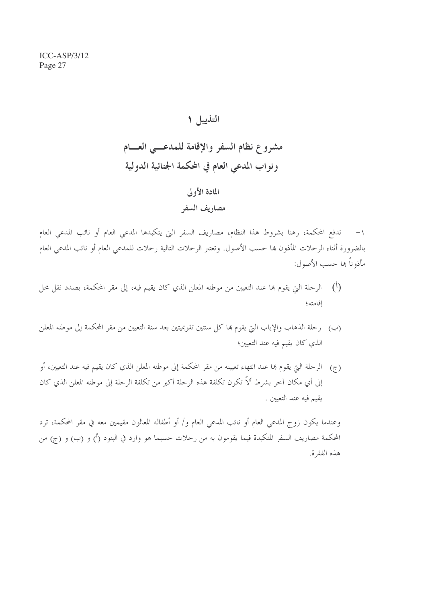$ICC-ASP/3/12$ Page 27

## التذييل ١

مشروع نظام السفر والإقامة للمدعسي العسام ونواب المدعى العام في المحكمة الجنائية الدولية

## المادة الأولى

#### مصاريف السفر

تدفع المحكمة، رهنا بشروط هذا النظام، مصاريف السفر التي يتكبدها المدعى العام أو نائب المدعى العام  $-1$ بالضرورة أثناء الرحلات المأذون بما حسب الأصول. وتعتبر الرحلات التالية رحلات للمدعى العام أو نائب المدعى العام مأذوناً هِما حسب الأصول:

- (أ) الرحلة التي يقوم هما عند التعيين من موطنه المعلن الذي كان يقيم فيه، إلى مقر المحكمة، بصدد نقل محل إقامته؛
- (ب) رحلة الذهاب والإياب التي يقوم بما كل سنتين تقويميتين بعد سنة التعيين من مقر المحكمة إلى موطنه المعلن الذي كان يقيم فيه عند التعيين؛
- (ج) الرحلة التي يقوم بما عند انتهاء تعيينه من مقر المحكمة إلى موطنه المعلن الذي كان يقيم فيه عند التعيين، أو إلى أي مكان آخر بشرط ألاّ تكون تكلفة هذه الرحلة أكبر من تكلفة الرحلة إلى موطنه المعلن الذي كان يقيم فيه عند التعيين .

وعندما يكون زوج المدعى العام أو نائب المدعى العام و/ أو أطفاله المعالون مقيمين معه في مقر المحكمة، ترد المحكمة مصاريف السفر المتكبدة فيما يقومون به من رحلات حسبما هو وارد في البنود (أ) و (ب) و (ج) من هذه الفقرة.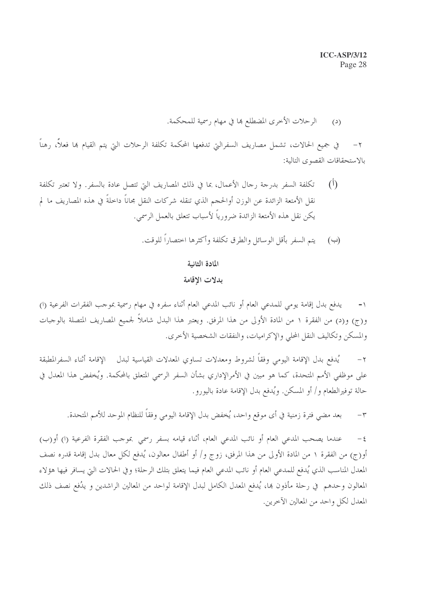الرحلات الأخرى المضطلع ها في مهام رسمية للمحكمة.  $(2)$ 

في جميع الحالات، تشمل مصاريف السفرالتي تدفعها المحكمة تكلفة الرحلات التي يتم القيام بما فعلاً، رهناً  $-\tau$ بالاستحقاقات القصوى التالية:

- تكلَّفة السَّفر بدرجة رجال الأعمال، بما في ذلك المصاريف التي تتصل عادة بالسَّفر. ولا تعتبر تكلَّفة  $(1)$ نقل الأمتعة الزائدة عن الوزن أوالحجم الذي تنقله شركات النقل مجاناً داخلةً في هذه المصاريف ما لم يكن نقل هذه الأمتعة الزائدة ضرورياً لأسباب تتعلق بالعمل الرسمي.
	- (ب) يتم السفر بأقل الوسائل والطرق تكلفة وأكثرها اختصاراً للوقت.

المادة الثانية

#### بدلات الإقامة

يدفع بدل إقامة يومي للمدعى العام أو نائب المدعى العام أثناء سفره في مهام رسمية بموجب الفقرات الفرعية (ا) و(ج) و(د) من الفقرة ١ من المادة الأولى من هذا المرفق. ويعتبر هذا البدل شاملاً لجميع المصاريف المتصلة بالوحبات والمسكن وتكاليف النقل المحلى والإكراميات، والنفقات الشخصية الأخرى.

يُدفع بدل الإقامة اليومي وفقاً لشروط ومعدلات تساوي المعدلات القياسية لبدل الإقامة أثناء السفرالمطبقة  $-\tau$ على موظفي الأمم المتحدة، كما هو مبين في الأمرالإداري بشأن السفر الرسمي المتعلق بالمحكمة. ويُخفض هذا المعدل في حالة توفيرالطعام و/ أو المسكن. ويُدفع بدل الإقامة عادة باليورو.

بعد مضي فترة زمنية في أي موقع واحد، يُخفض بدل الإقامة اليومي وفقاً للنظام الموحد للأمم المتحدة.  $-\tau$ 

عندما يصحب المدعى العام أو نائب المدعى العام، أثناء قيامه بسفر رسمي بموجب الفقرة الفرعية (ا) أو(ب)  $-\xi$ أوزج) من الفقرة ١ من المادة الأولى من هذا المرفق، زوج و/ أو أطفال معالون، يُدفع لكل معال بدل إقامة قدره نصف المعدل المناسب الذي يُدفع للمدعى العام أو نائب المدعى العام فيما يتعلق بتلك الرحلة؛ وفي الحالات التي يسافر فيها هؤلاء المعالون وحدهم في رحلة مأذون بما، يُدفع المعدل الكامل لبدل الإقامة لواحد من المعالين الراشدين و يدُفع نصف ذلك المعدل لكل واحد من المعالين الآخرين.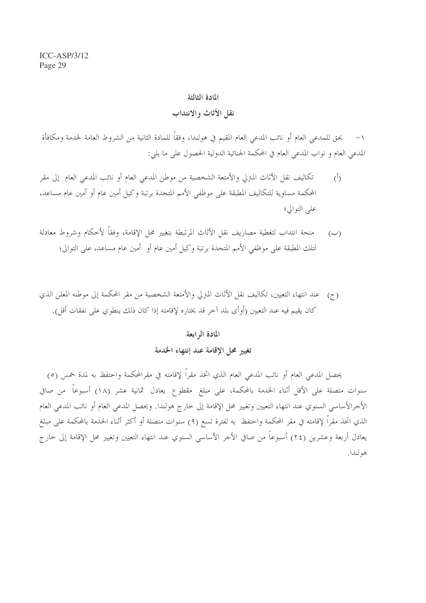#### المادة الثالثة

#### نقل الأثاث والانتداب

يحق للمدعى العام أو نائب المدعى العام المقيم في هولندا، وفقاً للمادة الثانية من الشروط العامة لخدمة ومكافأة المدعى العام و نواب المدعى العام في المحكمة الجنائية الدولية الحصول على ما يلي:

- تكاليف نقل الأثاث المترلي والأمتعة الشخصية من موطن المدعى العام أو نائب المدعى العام إلى مقر  $(\mathring{I})$ المحكمة مساوية للتكاليف المطبقة على موظفى الأمم المتحدة برتبة وكيل أمين عام أو أمين عام مساعد، على التوالي؛
- منحة انتداب لتغطية مصاريف نقل الأثاث المرتبطة بتغيير محل الإقامة، وفقاً لأحكام وشروط معادلة  $(\hookrightarrow)$ لتلك المطبقة على موظفى الأمم المتحدة برتبة وكيل أمين عام أو أمين عام مساعد، على التوالي؛
- (ج) عند انتهاء التعيين، تكاليف نقل الأثاث المترلي والأمتعة الشخصية من مقر المحكمة إلى موطنه المعلن الذي كان يقيم فيه عند التعيين (أوأى بلد آخر قد يختاره لإقامته إذا كان ذلك ينطوي على نفقات أقل).

#### المادة الرابعة

تغيير محل الإقامة عند إنتهاء الخدمة

يحصل المدعى العام أو نائب المدعى العام الذي اتخذ مقراً لإقامته في مقرالمحكمة واحتفظ به لمدة خمس (٥) سنوات متصلة على الأقل أثناء الخدمة بالمحكمة، على مبلغ مقطوع يعادل ثمانية عشر (١٨) أسبوعاً من صافي الأجرالأساسي السنوي عند انتهاء التعيين وتغيير محل الإقامة إلى خارج هولندا. ويحصل المدعى العام أو نائب المدعى العام الذي اتخذ مقراً لإقامته في مقر المحكمة واحتفظ به لفترة تسع (٩) سنوات متصلة أو أكثر أثناء الحندمة بالمحكمة على مبلغ يعادل أربعة وعشرين (٢٤) أسبوعاً من صافي الأجر الأساسي السنوي عند انتهاء التعيين وتغيير محل الإقامة إلى خارج هو لندا.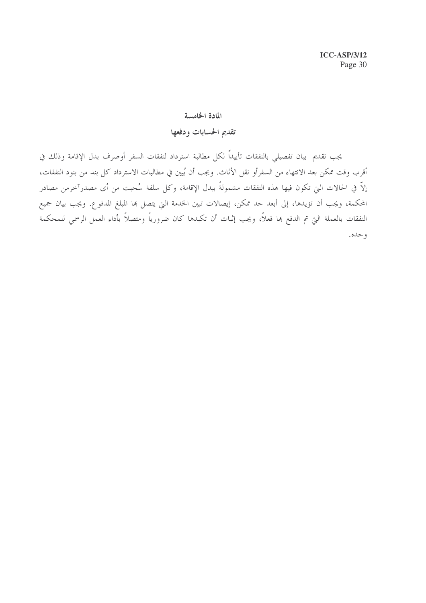#### المادة الخامسة

### تقديم الحسابات ودفعها

يجب تقديم بيان تفصيلي بالنفقات تأييداً لكل مطالبة استرداد لنفقات السفر أوصرف بدل الإقامة وذلك في أقرب وقت ممكن بعد الانتهاء من السفرأو نقل الأثاث. ويجب أن يُبين في مطالبات الاسترداد كل بند من بنود النفقات، إلاَّ في الحالات التي تكون فيها هذه النفقات مشمولةً ببدل الإقامة، وكل سلفة سُحبت من أي مصدرآخرمن مصادر المحكمة، ويجب أن تؤيدها، إلى أبعد حد ممكن، إيصالات تبين الخدمة التي يتصل ها المبلغ المدفوع. ويجب بيان جميع النفقات بالعملة التي تم الدفع بما فعلاً، ويجب إثبات أن تكبدها كان ضرورياً ومتصلاً بأداء العمل الرسمي للمحكمة و حده.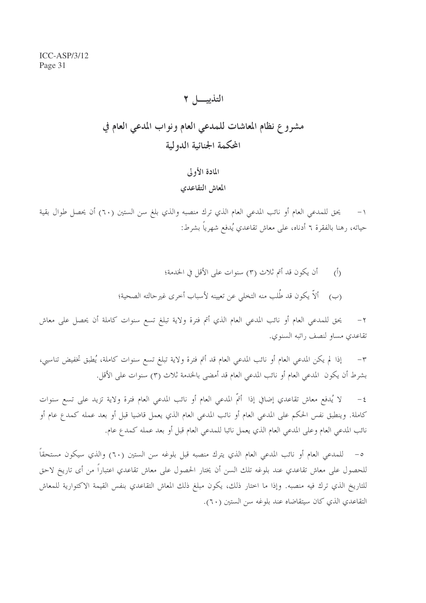## التذييب ٢

## مشروع نظام المعاشات للمدعى العام ونواب المدعى العام في المحكمة الجنائية الدولية

## المادة الأولى المعاش التقاعدي

١– يحق للمدعى العام أو نائب المدعى العام الذي ترك منصبه والذي بلغ سن الستين (٦٠) أن يحصل طوال بقية حياته، رهنا بالفقرة ٦ أدناه، على معاش تقاعدي يُدفع شهرياً بشرط:

> أن يكون قد أتم ثلاث (٣) سنوات على الأقل في الخدمة؛  $\langle \hat{b} \rangle$ ألاّ يكون قد طُلب منه التخلي عن تعيينه لأسباب أخرى غيرحالته الصحية؛  $(\hookrightarrow)$

يحق للمدعى العام أو نائب المدعى العام الذي أتم فترة ولاية تبلغ تسع سنوات كاملة أن يحصل على معاش  $-\tau$ تقاعدي مساو لنصف راتبه السنوي.

إذا لم يكن المدعى العام أو نائب المدعى العام قد أتم فترة ولاية تبلغ تسع سنوات كاملة، يُطبق تخفيض تناسبي،  $-\tau$ بشرط أن يكون المدعي العام أو نائب المدعي العام قد أمضى بالخدمة ثلاث (٣) سنوات على الأقل.

لا يُدفع معاش تقاعدي إضافي إذا أتمّ المدعى العام أو نائب المدعى العام فترة ولاية تزيد على تسع سنوات  $-\xi$ كاملة. وينطبق نفس الحكم على المدعى العام أو نائب المدعى العام الذي يعمل قاضيا قبل أو بعد عمله كمدع عام أو نائب المدعى العام وعلى المدعى العام الذي يعمل نائبا للمدعى العام قبل أو بعد عمله كمدع عام.

للمدعى العام أو نائب المدعى العام الذي يترك منصبه قبل بلوغه سن الستين (٦٠) والذي سيكون مستحقاً  $-\circ$ للحصول على معاش تقاعدي عند بلوغه تلك السن أن يختار الحصول على معاش تقاعدي اعتباراً من أى تاريخ لاحق للتاريخ الذي ترك فيه منصبه. وإذا ما اختار ذلك، يكون مبلغ ذلك المعاش التقاعدي بنفس القيمة الاكتوارية للمعاش التقاعدي الذي كان سيتقاضاه عند بلوغه سن الستين (٦٠).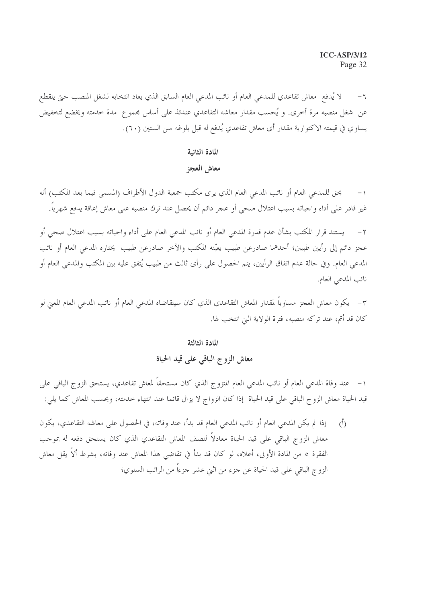لا يُدفع معاش تقاعدي للمدعى العام أو نائب المدعى العام السابق الذي يعاد انتخابه لشغل المنصب حتى ينقطع عن شغل منصبه مرة أخرى. و يُحسب مقدار معاشه التقاعدي عندئذ على أساس مجموع مدة خدمته ويخضع لتخفيض يساوي في قيمته الاكتوارية مقدار أي معاش تقاعدي يُدفع له قبل بلوغه سن الستين (٦٠).

#### المادة الثانية

#### معاش العجز

يحق للمدعى العام أو نائب المدعى العام الذي يرى مكتب جمعية الدول الأطراف (المسمى فيما بعد المكتب) أنه غير قادر على أداء واجباته بسبب اعتلال صحى أو عجز دائم أن يحصل عند ترك منصبه على معاش إعاقة يدفع شهرياً.

يستند قرار المكتب بشأن عدم قدرة المدعى العام أو نائب المدعى العام على أداء واجباته بسبب اعتلال صحى أو  $-7$ عجز دائم إلى رأيين طبيين؛ أحدهما صادرعن طبيب يعيّنه المكتب والآخر صادرعن طبيب يختاره المدعى العام أو نائب المدعى العام. وفي حالة عدم اتفاق الرأيين، يتم الحصول على رأى ثالث من طبيب يُتفق عليه بين المكتب والمدعى العام أو نائب المدعى العام.

٣– يكون معاش العجز مساوياً لمقدار المعاش التقاعدي الذي كان سيتقاضاه المدعي العام أو نائب المدعي العام المعني لو كان قد أتم، عند تركه منصبه، فترة الولاية التي انتخب لها.

#### المادة الثالثة

### معاش الزوج الباقي على قيد الحياة

١– عند وفاة المدعي العام أو نائب المدعي العام المتزوج الذي كان مستحقاً لمعاش تقاعدي، يستحق الزوج الباقي على قيد الحياة معاش الزوج الباقي على قيد الحياة إذا كان الزواج لا يزال قائما عند انتهاء حدمته، ويحسب المعاش كما يلي:

إذا لم يكن المدعى العام أو نائب المدعى العام قد بدأ، عند وفاته، في الحصول على معاشه التقاعدي، يكون  $(\dot{I})$ معاش الزوج الباقي على قيد الحياة معادلاً لنصف المعاش التقاعدي الذي كان يستحق دفعه له بموجب الفقرة ٥ من المادة الأولى، أعلاه، لو كان قد بدأ في تقاضي هذا المعاش عند وفاته، بشرط ألاً يقل معاش الزوج الباقي على قيد الحياة عن جزء من اثني عشر جزءاً من الراتب السنوي؛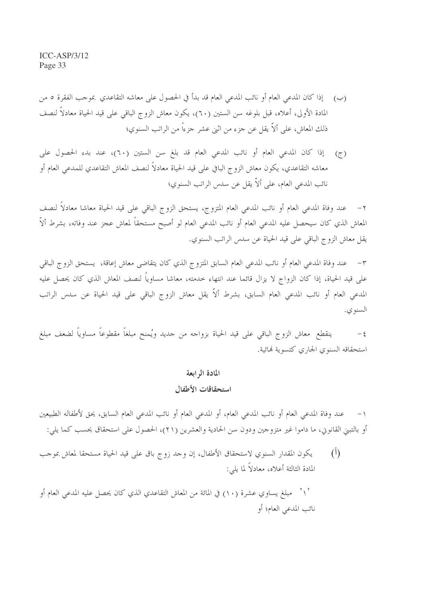- (ب) [ذا كان المدعى العام أو نائب المدعى العام قد بدأ في الحصول على معاشه التقاعدي بموجب الفقرة ٥ من المادة الأولى، أعلاه، قبل بلوغه سن الستين (٦٠)، يكون معاش الزوج الباقي على قيد الحياة معادلا لنصف ذلك المعاش، على ألاَّ يقل عن جزء من اثني عشر جزءاً من الراتب السنوي؛
- إذا كان المدعى العام أو نائب المدعى العام قد بلغ سن الستين (٦٠)، عند بدء الحصول على  $(\tau)$ معاشه التقاعدي، يكون معاش الزوج البافي على قيد الحياة معادلاً لنصف المعاش التقاعدي للمدعي العام أو نائب المدعى العام، على ألاّ يقل عن سدس الراتب السنوي؛

عند وفاة المدعى العام أو نائب المدعى العام المتزوج، يستحق الزوج الباقي على قيد الحياة معاشا معادلاً لنصف  $-7$ المعاش الذي كان سيحصل عليه المدعى العام أو نائب المدعى العام لو أصبح مستحقاً لمعاش عجز عند وفاته، بشرط ألاّ يقل معاش الزوج الباقي على قيد الحياة عن سدس الراتب السنوي.

عند وفاة المدعى العام أو نائب المدعى العام السابق المتزوج الذي كان يتقاضى معاش إعاقة، يستحق الزوج الباقى  $-1$ على قيد الحياة، إذا كان الزواج لا يزال قائما عند انتهاء حدمته، معاشا مساوياً لنصف المعاش الذي كان يحصل عليه المدعى العام أو نائب المدعي العام السابق، بشرط ألاّ يقل معاش الزوج الباقي على قيد الحياة عن سدس الراتب السنو ي.

ينقطع معاش الزوج الباقي على قيد الحياة بزواجه من جديد ويُمنح مبلغاً مقطوعاً مساوياً لضعف مبلغ  $-\xi$ استحقاقه السنوى الجارى كتسوية فمائية.

## المادة الرابعة

## استحقاقات الأطفال

عند وفاة المدعى العام أو نائب المدعى العام، أو المدعى العام أو نائب المدعى العام السابق، يحق لأطفاله الطبيعين أو بالتبني القانوني، ما داموا غير متزوجين ودون سن الحادية والعشرين (٢١)، الحصول على استحقاق يحسب كما يلي:

 $(\mathfrak{h})$ يكون المقدار السنوي لاستحقاق الأطفال، إن وجد زوج باق على قيد الحياة مستحقا لمعاش بموجب المادة الثالثة أعلاه، معادلاً لما يلي:

مبلغ يساوي عشرة (١٠) في المائة من المعاش التقاعدي الذي كان يحصل عليه المدعى العام أو  $\left\langle \cdot \right\rangle$ نائب المدعى العام؛ أو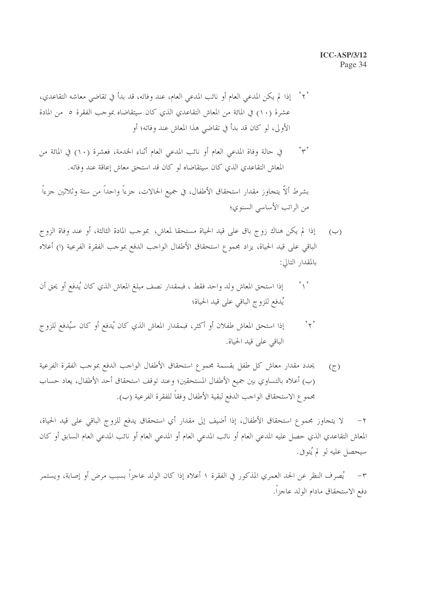#### **ICC-ASP/3/12** Page 34

- `٢ ْ إذا لم يكن المدعى العام أو نائب المدعى العام، عند وفاته، قد بدأ في تقاضى معاشه التقاعدي، ` عشرة (١٠) في المائة من المعاش التقاعدي الذي كان سيتقاضاه بموجب الفقرة ٥ من المادة الأولى، لو كان قد بدأ في تقاضي هذا المعاش عند وفاته؛ أو
- $, \tilde{\ }$ في حالة وفاة المدعى العام أو نائب المدعى العام أثناء الخدمة، فعشرة (١٠) في المائة من المعاش التقاعدي الذي كان سيتقاضاه لو كان قد استحق معاش إعاقة عند وفاته.

بشرط ألاَّ يتجاوز مقدار استحقاق الأطفال، في جميع الحالات، جزءاً واحداً من ستة وثلاثين جزءاً من الراتب الأساسي السنوي؛

- إذا لم يكن هناك زوج باق على قيد الحياة مستحقا لمعاش، بموجب المادة الثالثة، أو عند وفاة الزوج  $(\cup)$ الباقي على قيد الحياة، يزاد مجموع استحقاق الأطفال الواحب الدفع بموحب الفقرة الفرعية (ا) أعلاه بالمقدار التالي:
- إذا استحق المعاش ولد واحد فقط ، فبمقدار نصف مبلغ المعاش الذي كان يُدفع أو يحق أن  $\mathcal{L}_{\setminus}$ يُدفع للزوج الباقي على قيد الحياة؛
- إذا استحق المعاش طفلان أو أكثر، فبمقدار المعاش الذي كان يُدفع أو كان سيُدفع للزوج  $, \cdot, \cdot$ الباقي على قيد الحياة.
- يحدد مقدار معاش كل طفل بقسمة مجموع استحقاق الأطفال الواجب الدفع بموجب الفقرة الفرعية  $(\tau)$ (ب) أعلاه بالتساوي بين جميع الأطفال المستحقين؛ وعند توقف استحقاق أحد الأطفال، يعاد حساب بحمو ع الاستحقاق الواحب الدفع لبقية الأطفال وفقاً للفقرة الفرعية (ب).

لا يتحاوز مجموع استحقاق الأطفال، إذا أضيف إلى مقدار أي استحقاق يدفع للزوج الباقي على قيد الحياة،  $-7$ المعاش التقاعدي الذي حصل عليه المدعى العام أو نائب المدعى العام أو المدعى العام أو نائب المدعى العام السابق أو كان سيحصل عليه لو لم يُتوفى.

٣– \_ \_ يُصرف النظر عن الحد العمري المذكور في الفقرة ١ أعلاه إذا كان الولد عاجزاً بسبب مرض أو إصابة، ويستمر دفع الاستحقاق مادام الولد عاجزاً.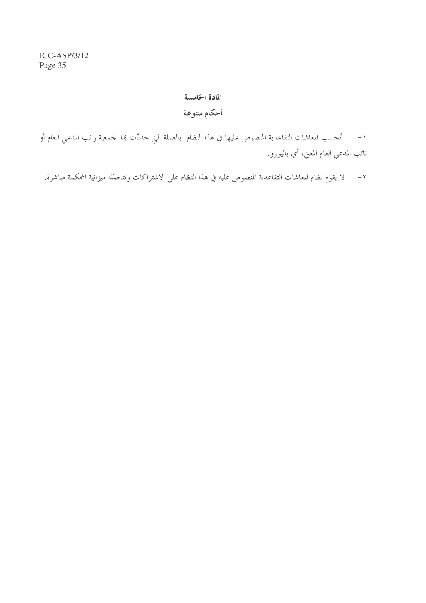## المادة الخامسة أحكام متنوعة

١– تُحسب المعاشات التقاعدية المنصوص عليها في هذا النظام بالعملة التي حددّت ها الجمعية راتب المدعي العام أو نائب المدعي العام المعني، أي باليورو.

٢ – لا يقوم نظام المعاشات التقاعدية المنصوص عليه في هذا النظام علي الاشتراكات وتتحمَّله ميزانية المحكمة مباشرة.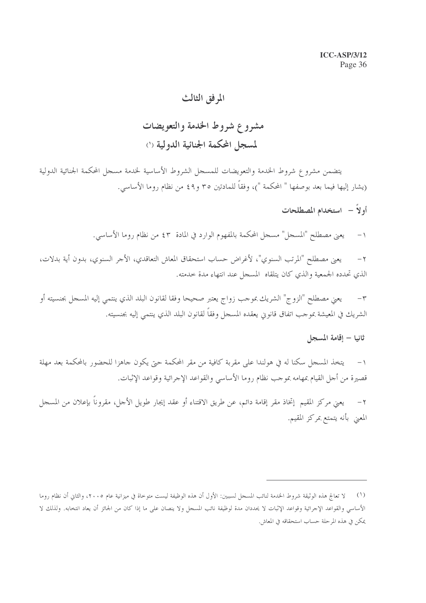## المرفق الثالث

## مشروع شروط الخدمة والتعويضات لمسجل المحكمة الجنائية الدولية (١)

يتضمن مشروع شروط الخدمة والتعويضات للمسحل الشروط الأساسية لخدمة مسحل المحكمة الجنائية الدولية (يشار إليها فيما بعد بوصفها " المحكمة ")، وفقاً للمادتين ٣٥ و٤٩ من نظام روما الأساسي.

- أولاً استخدام المصطلحات
- يعني مصطلح "المسجل" مسجل المحكمة بالمفهوم الوارد في المادة ٤٣ من نظام روما الأساسي.  $-1$

يعني مصطلح "المرتب السنوي"، لأغراض حساب استحقاق المعاش التعاقدي، الأجر السنوي، بدون أية بدلات،  $-\tau$ الذي تحدده الجمعية والذي كان يتلقاه المسجل عند انتهاء مدة حدمته.

يعني مصطلح "الزوج" الشريك بموجب زواج يعتبر صحيحا وفقا لقانون البلد الذي ينتمى إليه المسجل بجنسيته أو  $-\tau$ الشريك في المعيشة بموجب اتفاق قانويي يعقده المسجل وفقاً لقانون البلد الذي ينتمى إليه بجنسيته.

## ثانيا – إقامة المسجل

يتخذ المسجل سكنا له في هولندا على مقربة كافية من مقر المحكمة حتى يكون جاهزا للحضور بالمحكمة بعد مهلة  $-1$ قصيرة من أجل القيام بمهامه بموجب نظام روما الأساسي والقواعد الإجرائية وقواعد الإثبات.

يعني مركز المقيم ٳتخاذ مقر ٳقامة دائم، عن طريق الاقتناء أو عقد ٳيجار طويل الأحل، مقروناً بٳعلان من المسحل  $-7$ المعنى بأنه يتمتع بمركز المقيم.

<sup>(</sup>١) لا تعالج هذه الوثيقة شروط الخدمة لنائب المسجل لسببين: الأول أن هذه الوظيفة ليست متوحاة في ميزانية عام ٢٠٠٥، والثاني أن نظام روما الأساسي والقواعد الإجرائية وقواعد الإثبات لا يحددان مدة لوظيفة نائب المسجل ولا ينصان على ما إذا كان من الجائز أن يعاد انتخابه. ولذلك لا يمكن في هذه المرحلة حساب استحقاقه في المعاش.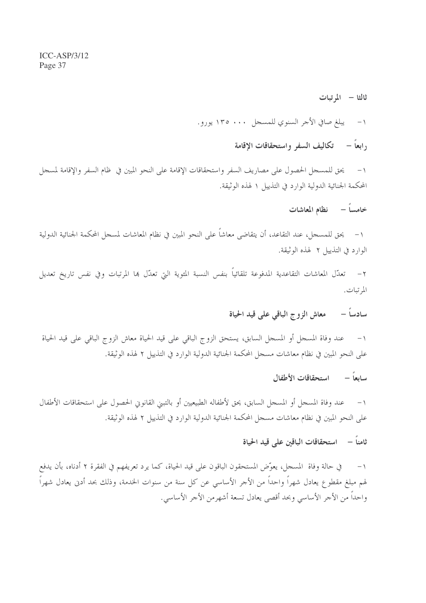ثالثا – المرتبات يبلغ صافي الأجر السنوي للمسجل ١٣٥٠٠٠ يورو.  $-1$ 

, ابعاً – تكاليف السفر واستحقاقات الاقامة

يحق للمسجل الحصول على مصاريف السفر واستحقاقات الإقامة على النحو المبين في ظام السفر والإقامة لمسجل  $-1$ المحكمة الجنائية الدولية الوارد في التذييل ١ لهذه الوثيقة.

خامساً – نظام المعاشات

١– يحق للمسجل، عند التقاعد، أن يتقاضى معاشاً على النحو المبين في نظام المعاشات لمسجل المحكمة الجنائية الدولية الوارد في التذيبل ٢ لهذه الوثيقة.

٢ – تعدّل المعاشات التقاعدية المدفوعة تلقائياً بنفس النسبة المئوية التي تعدّل ها المرتبات وفي نفس تاريخ تعديل المرتبات.

> معاش الزوج الباقي على قيد الحياة سادساً –

عند وفاة المسحل أو المسحل السابق، يستحق الزوج الباقي على قيد الحياة معاش الزوج الباقي على قيد الحياة  $-1$ على النحو المبين في نظام معاشات مسحل المحكمة الجنائية الدولية الوارد في التذييل ٢ لهذه الوثيقة.

> سابعاً – استحقاقات الأطفال

١– عند وفاة المسجل أو المسجل السابق، يحق لأطفاله الطبيعيين أو بالتبني القانوين الحصول على استحقاقات الأطفال على النحو المبين في نظام معاشات مسجل المحكمة الجنائية الدولية الوارد في التذييل ٢ لهذه الوثيقة.

ثامناً – استحقاقات الباقين على قيد الحياة

في حالة وفاة المسجل، يعوِّض المستحقون الباقون على قيد الحياة، كما يرد تعريفهم في الفقرة ٢ أدناه، بأن يدفع  $-1$ لهم مبلغ مقطوع يعادل شهراً واحداً من الأجر الأساسي عن كل سنة من سنوات الخدمة، وذلك بحد أدنى يعادل شهراً واحداً من الأجر الأساسي وبحد أقصى يعادل تسعة أشهرمن الأجر الأساسي.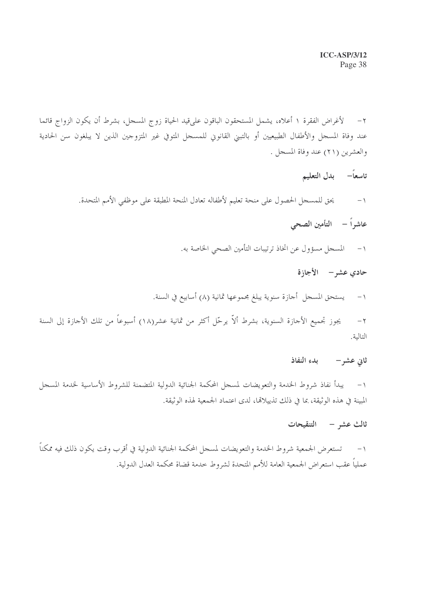٢– لأغراض الفقرة ١ أعلاه، يشمل المستحقون الباقون على قيد الحياة زوج المسجل، بشرط أن يكون الزواج قائما عند وفاة المسحل والأطفال الطبيعيين أو بالتبني القانوين للمسحل المتوفي غير المتزوجين الذين لا يبلغون سن الحادية والعشرين (٢١) عند وفاة المسجل .

تاسعاً– بدل التعليم

يحق للمسجل الحصول على منحة تعليم لأطفاله تعادل المنحة المطبقة على موظفي الأمم المتحدة.  $-1$ 

- عاشراً التأمين الصحى
- المسجل مسؤول عن اتخاذ ترتيبات التأمين الصحى الخاصة به.  $-1$

حادي عشر – الأجازة

١− يستحق المسحل أحازة سنوية يبلغ مجموعها ثمانية (٨) أسابيع في السنة.

يجوز تجميع الأجازة السنوية، بشرط ألاّ يرحّل أكثر من ثمانية عشر(١٨) أسبوعاً من تلك الأجازة إلى السنة  $-\tau$ التالية.

### ثاني عشر – بدء النفاذ

١– يبدأ نفاذ شروط الخدمة والتعويضات لمسجل المحكمة الجنائية الدولية المتضمنة للشروط الأساسية لخدمة المسجل المبينة في هذه الوثيقة، بما في ذلك تذييلالها، لدى اعتماد الجمعية لهذه الوثيقة.

#### ثالث عشر – التنقيحات

١− تستعرض الجمعية شروط الخدمة والتعويضات لمسحل المحكمة الجنائية الدولية في أقرب وقت يكون ذلك فيه ممكناً عملياً عقب استعراض الجمعية العامة للأمم المتحدة لشروط حدمة قضاة محكمة العدل الدولية.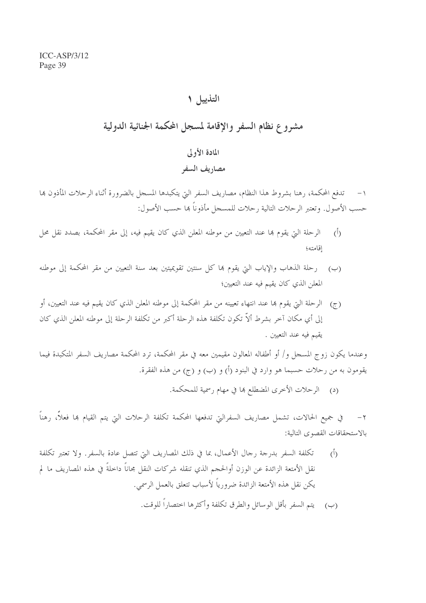## التذييل ١

## مشروع نظام السفر والإقامة لمسجل المحكمة الجنائية الدولية

## المادة الأولى

### مصاريف السفر

تدفع المحكمة، رهنا بشروط هذا النظام، مصاريف السفر التي يتكبدها المسجل بالضرورة أثناء الرحلات المأذون بما حسب الأصول. وتعتبر الرحلات التالية رحلات للمسحل مأذوناً هما حسب الأصول:

- الرحلة التي يقوم بما عند التعيين من موطنه المعلن الذي كان يقيم فيه، إلى مقر المحكمة، بصدد نقل محل  $\langle \hat{L} \rangle$ اقامته؛
- (ب) رحلة الذهاب والإياب التي يقوم بما كل سنتين تقويميتين بعد سنة التعيين من مقر المحكمة إلى موطنه المعلن الذي كان يقيم فيه عند التعيين؛
- (ج) الرحلة التي يقوم بما عند انتهاء تعيينه من مقر المحكمة إلى موطنه المعلن الذي كان يقيم فيه عند التعيين، أو إلى أي مكان آخر بشرط ألاّ تكون تكلفة هذه الرحلة أكبر من تكلفة الرحلة إلى موطنه المعلن الذي كان يقيم فيه عند التعيين .

وعندما يكون زوج المسجل و/ أو أطفاله المعالون مقيمين معه في مقر المحكمة، ترد المحكمة مصاريف السفر المتكبدة فيما يقومون به من رحلات حسبما هو وارد في البنود (أ) و (ب) و (ج) من هذه الفقرة.

(د) الرحلات الأخرى المضطلع ها في مهام رسمية للمحكمة.

في جميع الحالات، تشمل مصاريف السفرالتي تدفعها المحكمة تكلفة الرحلات التي يتم القيام بما فعلاً، رهناً  $-7$ بالاستحقاقات القصوى التالية:

تكلَّفة السَّفر بدرجة رجال الأعمال، بما في ذلك المصاريف التي تتصل عادة بالسفر. ولا تعتبر تكلَّفة  $\langle \hat{D} \rangle$ نقل الأمتعة الزائدة عن الوزن أوالحجم الذي تنقله شركات النقل مجاناً داخلةً في هذه المصاريف ما لم يكن نقل هذه الأمتعة الزائدة ضرورياً لأسباب تتعلق بالعمل الرسمي. (ب) يتم السفر بأقل الوسائل والطرق تكلفة وأكثرها اختصاراً للوقت.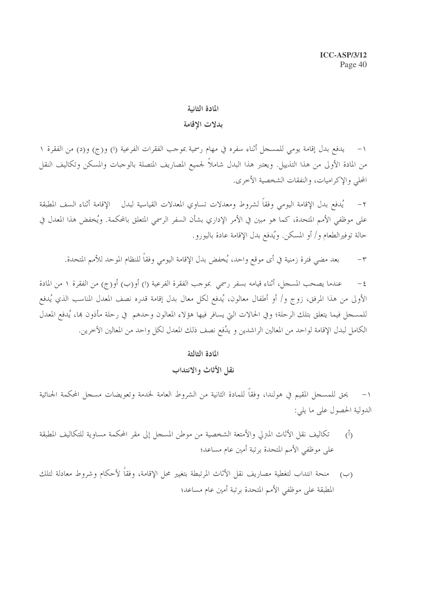#### المادة الثانية

#### بدلات الاقامة

١– يدفع بدل إقامة يومي للمسحل أثناء سفره في مهام رسمية بموحب الفقرات الفرعية (ا) و(ج) و(د) من الفقرة ١ من المادة الأولى من هذا التذييل. ويعتبر هذا البدل شاملاً لجميع المصاريف المتصلة بالوجبات والمسكن وتكاليف النقل المحلي والإكراميات، والنفقات الشخصية الأخرى.

يُدفع بدل الإقامة اليومي وفقاً لشروط ومعدلات تساوي المعدلات القياسية لبدل الإقامة أثناء السف المطبقة  $-7$ على موظفى الأمم المتحدة، كما هو مبين في الأمر الإداري بشأن السفر الرسمي المتعلق بالمحكمة. ويُخفض هذا المعدل في حالة توفيرالطعام و/ أو المسكن. ويُدفع بدل الإقامة عادة باليورو .

بعد مضى فترة زمنية في أي موقع واحد، يُخفض بدل الإقامة اليومي وفقاً للنظام الموحد للأمم المتحدة.  $-\tau$ 

عندما يصحب المسجل، أثناء قيامه بسفر رسمي بموجب الفقرة الفرعية (ا) أو(ب) أو(ج) من الفقرة ١ من المادة  $-\xi$ الأولى من هذا المرفق، زوج و/ أو أطفال معالون، يُدفع لكل معال بدل إقامة قدره نصف المعدل المناسب الذي يُدفع للمسجل فيما يتعلق بتلك الرحلة؛ وفي الحالات التي يسافر فيها هؤلاء المعالون وحدهم في رحلة مأذون بما، يُدفع المعدل الكامل لبدل الإقامة لواحد من المعالين الراشدين و يدُفع نصف ذلك المعدل لكل واحد من المعالين الآخرين.

#### المادة الثالثة

#### نقل الأثاث والانتداب

١− يحق للمسجل المقيم في هولندا، وفقاً للمادة الثانية من الشروط العامة لخدمة وتعويضات مسجل المحكمة الجنائية الدولية الحصول على ما يلي:

- تكاليف نقل الأثاث المترلي والأمتعة الشخصية من موطن المسجل إلى مقر المحكمة مساوية للتكاليف المطبقة  $\overline{(\cdot)}$ على موظفى الأمم المتحدة برتبة أمين عام مساعد؛
- منحة انتداب لتغطية مصاريف نقل الأثاث المرتبطة بتغيير محل الإقامة، وفقاً لأحكام وشروط معادلة لتلك  $(\cup)$ المطبقة على موظفى الأمم المتحدة برتبة أمين عام مساعد؛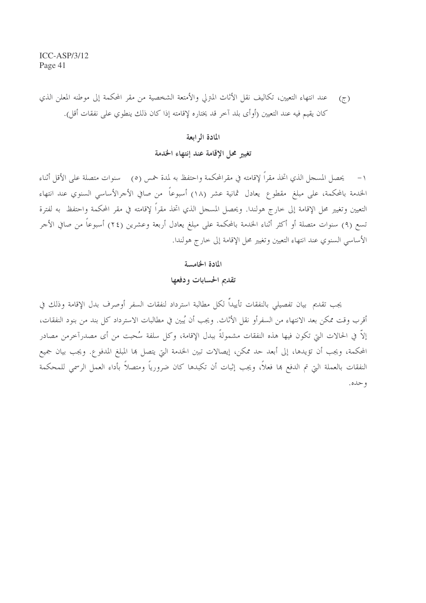عند انتهاء التعيين، تكاليف نقل الأثاث المترلي والأمتعة الشخصية من مقر المحكمة إلى موطنه المعلن الذي  $(7)$ كان يقيم فيه عند التعيين (أوأى بلد آخر قد يختاره لإقامته إذا كان ذلك ينطوى على نفقات أقل).

#### المادة الرابعة

### تغيير محل الإقامة عند إنتهاء الخدمة

١– يحصل المسجل الذي اتخذ مقراً لإقامته في مقرالمحكمة واحتفظ به لمدة خمس (٥) سنوات متصلة على الأقل أثناء الخدمة بالمحكمة، على مبلغ مقطوع يعادل ثمانية عشر (١٨) أسبوعاً من صافي الأجرالأساسي السنوي عند انتهاء التعيين وتغيير محل الإقامة إلى خارج هولندا. ويحصل المسحل الذي اتخذ مقراً لإقامته في مقر المحكمة واحتفظ به لفترة تسع (٩) سنوات متصلة أو أكثر أثناء الخدمة بالمحكمة على مبلغ يعادل أربعة وعشرين (٢٤) أسبوعاً من صافي الأجر الأساسي السنوي عند انتهاء التعيين وتغيير محل الإقامة إلى حارج هولندا.

#### المادة الخامسة

#### تقديم الحسابات ودفعها

يجب تقديم بيان تفصيلي بالنفقات تأييداً لكل مطالبة استرداد لنفقات السفر أوصرف بدل الإقامة وذلك في أقرب وقت ممكن بعد الانتهاء من السفرأو نقل الأثاث. ويجب أن يُبين في مطالبات الاسترداد كل بند من بنود النفقات، إلاَّ في الحالات التي تكون فيها هذه النفقات مشمولةً ببدل الإقامة، وكل سلفة سُحبت من أي مصدرآخرمن مصادر المحكمة، ويجب أن تؤيدها، إلى أبعد حد ممكن، إيصالات تبين الخدمة التي يتصل ها المبلغ المدفوع. ويجب بيان جميع النفقات بالعملة التي تم الدفع ها فعلاً، ويجب إثبات أن تكبدها كان ضرورياً ومتصلاً بأداء العمل الرسمي للمحكمة و حده.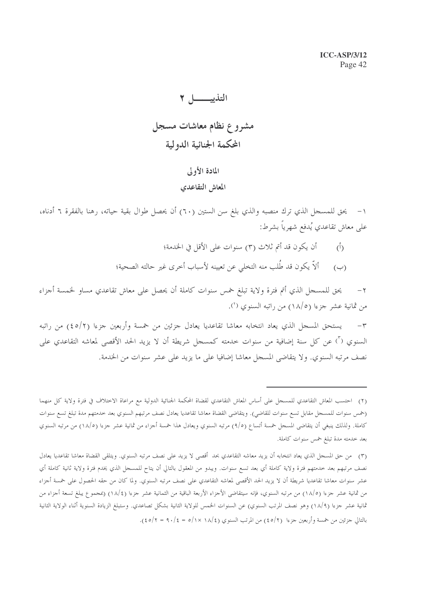# التذييــــا 7 مشروع نظام معاشات مسجل المحكمة الجنائية الدولية

## المادة الأولى

#### المعاش التقاعدي

١– يحق للمسجل الذي ترك منصبه والذي بلغ سن الستين (٦٠) أن يحصل طوال بقية حياته، رهنا بالفقرة ٦ أدناه، على معاش تقاعدي يُدفع شهرياً بشرط:

> أن يكون قد أتم ثلاث (٣) سنوات على الأقل في الخدمة؛  $\langle \hat{L} \rangle$ ألاَّ يكون قد طُلب منه التخلي عن تعيينه لأسباب أخرى غير حالته الصحية؛  $(\cup)$

يحق للمسجل الذي أتم فترة ولاية تبلغ حمس سنوات كاملة أن يحصل على معاش تقاعدي مساو لخمسة أجزاء  $-\tau$ من ثمانية عشر جزءا (١٨/٥) من راتبه السنوي (٢).

يستحق المسجل الذي يعاد انتخابه معاشا تقاعديا يعادل جزئين من خمسة وأربعين جزءا (٤٥/٢) من راتبه  $-\tau$ السنوي (") عن كل سنة إضافية من سنوات خدمته كمسجل شريطة أن لا يزيد الحد الأقصى لمعاشه التقاعدي على نصف مرتبه السنوي. ولا يتقاضى المسجل معاشا إضافيا على ما يزيد على عشر سنوات من الخدمة.

<sup>(</sup>٢) احتسب المعاش التقاعدي للمسجل على أساس المعاش التقاعدي لقضاة المحكمة الجنائية الدولية مع مراعاة الاختلاف في فترة ولاية كل منهما (خمس سنوات للمسجل مقابل تسع سنوات للقاضي). ويتقاضى القضاة معاشا تقاعديا يعادل نصف مرتبهم السنوي بعد حدمتهم مدة تبلغ تسع سنوات كاملة. ولذلك ينبغي أن يتقاضى المسجل حمسة أتساع (٩/٥) مرتبه السنوي ويعادل هذا حمسة أجزاء من ثمانية عشر جزءا (١٨/٥) من مرتبه السنوي بعد خدمته مدة تبلغ خمس سنوات كاملة.

<sup>(</sup>٣) من حق المسجل الذي يعاد انتخابه أن يزيد معاشه التقاعدي بحد أقصى لا يزيد على نصف مرتبه السنوي. ويتلقى القضاة معاشا تقاعديا يعادل نصف مرتبهم بعد خدمتهم فترة ولاية كاملة أي بعد تسع سنوات. ويبدو من المعقول بالتالي أن يتاح للمسجل الذي يخدم فترة ولاية ثانية كاملة أي عشر سنوات معاشا تقاعديا شريطة أن لا يزيد الحد الأقصى لمعاشه التقاعدي على نصف مرتبه السنوي. ولما كان من حقه الحصول على خمسة أجزاء من ثمانية عشر جزءا (١٨/٥) من مرتبه السنوي، فإنه سيتقاضى الأجزاء الأربعة الباقية من الثمانية عشر جزءا (١٨/٤) (بمجموع يبلغ تسعة أجزاء من ثمانية عشر جزءا (١٨/٩) وهو نصف المرتب السنوي) عن السنوات الخمس للولاية الثانية بشكل تصاعدي. وستبلغ الزيادة السنوية أثناء الولاية الثانية بالتالي جزئين من خمسة وأربعين جزءا (٢/٥٤) من المرتب السنوي (١٨/٤ × ٥/١ = ١٠/٤).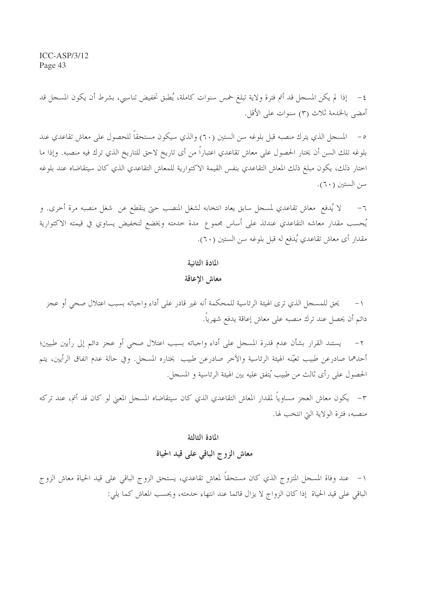$ICC-ASP/3/12$ Page 43

٤ – إذا لم يكن المسحل قد أتم فترة ولاية تبلغ خمس سنوات كاملة، يُطبق تخفيض تناسبي، بشرط أن يكون المسحل قد أمضى بالخدمة ثلاث (٣) سنوات على الأقل.

٥– المسجل الذي يترك منصبه قبل بلوغه سن الستين (٦٠) والذي سيكون مستحقاً للحصول على معاش تقاعدي عند بلوغه تلك السن أن يختار الحصول على معاش تقاعدي اعتباراً من أي تاريخ لاحق للتاريخ الذي ترك فيه منصبه. وإذا ما اختار ذلك، يكون مبلغ ذلك المعاش التقاعدي بنفس القيمة الاكتوارية للمعاش التقاعدي الذي كان سيتقاضاه عند بلوغه سن الستين (٦٠).

لا يُدفع ٍ معاش تقاعدي لمسجل سابق يعاد انتخابه لشغل المنصب حتى ينقطع عن شغل منصبه مرة أخرى. و  $-7$ يُحسب مقدار معاشه التقاعدي عندئذ على أساس مجموع ً مدة خدمته ويخضع لتخفيض يساوي في قيمته الاكتوارية مقدار أي معاش تقاعدي يُدفع له قبل بلوغه سن الستين (٦٠).

المادة الثانية

معاش الإعاقة

يحق للمسجل الذي ترى الهيئة الرئاسية للمحكمة أنه غير قادر على أداء واجباته بسبب اعتلال صحى أو عجز دائم أن يحصل عند ترك منصبه على معاش إعاقة يدفع شهرياً.

يستند القرار بشأن عدم قدرة المسحل على أداء واجباته بسبب اعتلال صحى أو عجز دائم إلى رأيين طبيين؛  $-\tau$ أحدهما صادرعن طبيب تعيّنه الهيئة الرئاسية والآخر صادرعن طبيب يختاره المسجل. وفي حالة عدم اتفاق الرأيين، يتم الحصول على رأى ثالث من طبيب يُتفق عليه بين الهيئة الرئاسية و المسجل.

٣– يكون معاش العجز مساوياً لمقدار المعاش التقاعدي الذي كان سيتقاضاه المسجل المعنى لو كان قد أتم، عند تركه منصبه، فترة الولاية التي انتخب لها.

المادة الثالثة

معاش الزوج الباقي على قيد الحياة

١– عند وفاة المسحل المتزوج الذي كان مستحقاً لمعاش تقاعدي، يستحق الزوج الباقي على قيد الحياة معاش الزوج الباقي على قيد الحياة إذا كان الزواج لا يزال قائما عند انتهاء حدمته، ويحسب المعاش كما يلي: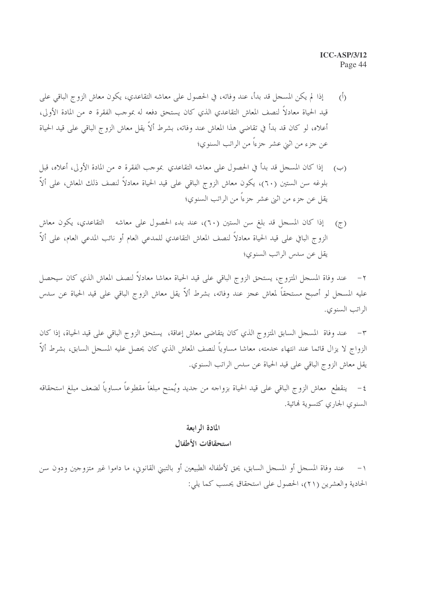- إذا لم يكن المسجل قد بدأ، عند وفاته، في الحصول على معاشه التقاعدي، يكون معاش الزوج الباقي على  $\sqrt{2}$ قيد الحياة معادلاً لنصف المعاش التقاعدي الذي كان يستحق دفعه له بموجب الفقرة ٥ من المادة الأولى، أعلاه، لو كان قد بدأ في تقاضى هذا المعاش عند وفاته، بشرط ألاً يقل معاش الزوج الباقي على قيد الحياة عن جزء من اثني عشر جزءاً من الراتب السنوي؛
- (ب) [ذا كان المسجل قد بدأ في الحصول على معاشه التقاعدي بموجب الفقرة ٥ من المادة الأولى، أعلاه، قبل بلوغه سن الستين (٦٠)، يكون معاش الزوج الباقي على قيد الحياة معادلاً لنصف ذلك المعاش، على ألاّ يقل عن جزء من اثني عشر جزءًا من الراتب السنوي؛
- إذا كان المسجل قد بلغ سن الستين (٦٠)، عند بدء الحصول على معاشه التقاعدي، يكون معاش  $(\tau)$ الزوج الباقي على قيد الحياة معادلاً لنصف المعاش التقاعدي للمدعى العام أو نائب المدعى العام، على ألاّ يقل عن سدس الراتب السنوي؛

٢– عند وفاة المسجل المتزوج، يستحق الزوج الباقي على قيد الحياة معاشا معادلاً لنصف المعاش الذي كان سيحصل عليه المسحل لو أصبح مستحقاً لمعاش عجز عند وفاته، بشرط ألاّ يقل معاش الزوج الباقي على قيد الحياة عن سدس الراتب السنوى.

عند وفاة المسجل السابق المتزوج الذي كان يتقاضى معاش إعاقة، يستحق الزوج الباقي على قيد الحياة، إذا كان الزواج لا يزال قائما عند انتهاء حدمته، معاشا مساوياً لنصف المعاش الذي كان يحصل عليه المسجل السابق، بشرط ألاَّ يقل معاش الزوج الباقي على قيد الحياة عن سدس الراتب السنوي.

٤ – ينقطع معاش الزوج الباقي على قيد الحياة بزواحه من حديد ويُمنح مبلغاً مقطوعاً مساوياً لضعف مبلغ استحقاقه السنوى الجارى كتسوية لهائية.

#### المادة الرابعة

#### استحقاقات الأطفال

عند وفاة المسجل أو المسجل السابق، يحق لأطفاله الطبيعين أو بالتبين القانوين، ما داموا غير متزوجين ودون سن  $-1$ الحادية والعشرين (٢١)، الحصول على استحقاق يحسب كما يلي: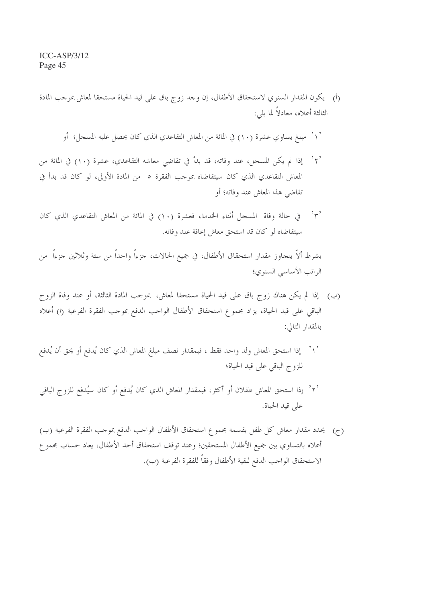(أ) يكون المقدار السنوي لاستحقاق الأطفال، إن وحد زوج باق على قيد الحياة مستحقا لمعاش بموحب المادة الثالثة أعلاه، معادلاً لما يلي:

` \ ` مبلغ يساوي عشرة (١٠) في المائة من المعاش التقاعدي الذي كان يحصل عليه المسجل؛ أو

- '٢' إذا لم يكن المسجل، عند وفاته، قد بدأ في تقاضى معاشه التقاعدي، عشرة (١٠) في المائة من المعاش التقاعدي الذي كان سيتقاضاه بموجب الفقرة ٥ من المادة الأولى، لو كان قد بدأ في تقاضي هذا المعاش عند وفاته؛ أو
- في حالة وفاة المسجل أثناء الخدمة، فعشرة (١٠) في المائة من المعاش التقاعدي الذي كان  $, \tilde{\ }$ سيتقاضاه لو كان قد استحق معاش إعاقة عند وفاته.

بشرط ألاّ يتجاوز مقدار استحقاق الأطفال، في جميع الحالات، جزءاً واحداً من ستة وثلاثين جزءاً ً من الراتب الأساسي السنوي؛

- (ب) إذا لم يكن هناك زوج باق على قيد الحياة مستحقا لمعاش، بموجب المادة الثالثة، أو عند وفاة الزوج الباقي على قيد الحياة، يزاد مجموع استحقاق الأطفال الواحب الدفع بموحب الفقرة الفرعية (ا) أعلاه بالمقدار التالي:
- `\ ` إذا استحق المعاش ولد واحد فقط ، فبمقدار نصف مبلغ المعاش الذي كان يُدفع أو يحق أن يُدفع للزوج الباقى على قيد الحياة؛
- '٢' إذا استحق المعاش طفلان أو أكثر، فبمقدار المعاش الذي كان يُدفع أو كان سيُدفع للزوج الباقي على قيد الحياة.
- يحدد مقدار معاش كل طفل بقسمة مجموع استحقاق الأطفال الواحب الدفع بموحب الفقرة الفرعية (ب)  $(\tau)$ أعلاه بالتساوي بين جميع الأطفال المستحقين؛ وعند توقف استحقاق أحد الأطفال، يعاد حساب مجموع الاستحقاق الواحب الدفع لبقية الأطفال وفقاً للفقرة الفرعية (ب).